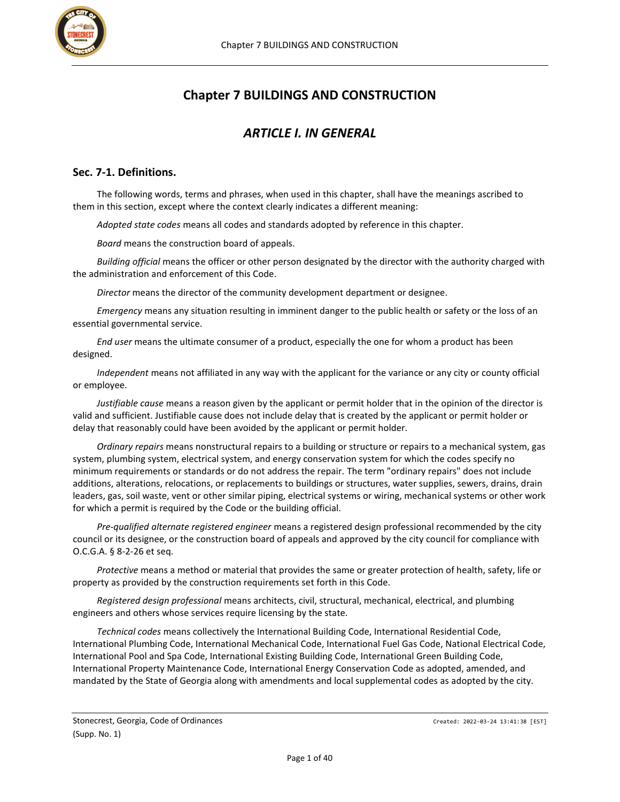

# **Chapter 7 BUILDINGS AND CONSTRUCTION**

# *ARTICLE I. IN GENERAL*

## **Sec. 7-1. Definitions.**

The following words, terms and phrases, when used in this chapter, shall have the meanings ascribed to them in this section, except where the context clearly indicates a different meaning:

*Adopted state codes* means all codes and standards adopted by reference in this chapter.

*Board* means the construction board of appeals.

*Building official* means the officer or other person designated by the director with the authority charged with the administration and enforcement of this Code.

*Director* means the director of the community development department or designee.

*Emergency* means any situation resulting in imminent danger to the public health or safety or the loss of an essential governmental service.

*End user* means the ultimate consumer of a product, especially the one for whom a product has been designed.

*Independent* means not affiliated in any way with the applicant for the variance or any city or county official or employee.

*Justifiable cause* means a reason given by the applicant or permit holder that in the opinion of the director is valid and sufficient. Justifiable cause does not include delay that is created by the applicant or permit holder or delay that reasonably could have been avoided by the applicant or permit holder.

*Ordinary repairs* means nonstructural repairs to a building or structure or repairs to a mechanical system, gas system, plumbing system, electrical system, and energy conservation system for which the codes specify no minimum requirements or standards or do not address the repair. The term "ordinary repairs" does not include additions, alterations, relocations, or replacements to buildings or structures, water supplies, sewers, drains, drain leaders, gas, soil waste, vent or other similar piping, electrical systems or wiring, mechanical systems or other work for which a permit is required by the Code or the building official.

*Pre-qualified alternate registered engineer* means a registered design professional recommended by the city council or its designee, or the construction board of appeals and approved by the city council for compliance with O.C.G.A. § 8-2-26 et seq.

*Protective* means a method or material that provides the same or greater protection of health, safety, life or property as provided by the construction requirements set forth in this Code.

*Registered design professional* means architects, civil, structural, mechanical, electrical, and plumbing engineers and others whose services require licensing by the state.

*Technical codes* means collectively the International Building Code, International Residential Code, International Plumbing Code, International Mechanical Code, International Fuel Gas Code, National Electrical Code, International Pool and Spa Code, International Existing Building Code, International Green Building Code, International Property Maintenance Code, International Energy Conservation Code as adopted, amended, and mandated by the State of Georgia along with amendments and local supplemental codes as adopted by the city.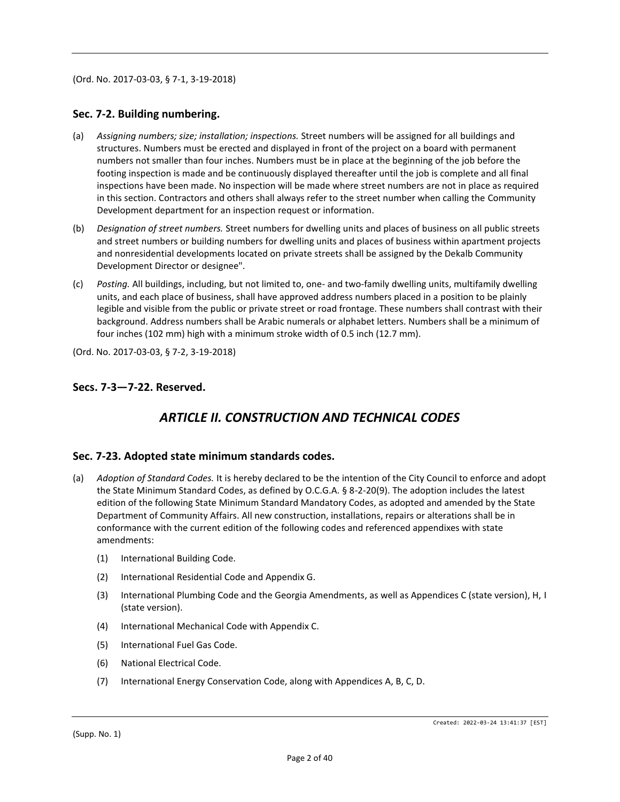(Ord. No. 2017-03-03, § 7-1, 3-19-2018)

#### **Sec. 7-2. Building numbering.**

- (a) *Assigning numbers; size; installation; inspections.* Street numbers will be assigned for all buildings and structures. Numbers must be erected and displayed in front of the project on a board with permanent numbers not smaller than four inches. Numbers must be in place at the beginning of the job before the footing inspection is made and be continuously displayed thereafter until the job is complete and all final inspections have been made. No inspection will be made where street numbers are not in place as required in this section. Contractors and others shall always refer to the street number when calling the Community Development department for an inspection request or information.
- (b) *Designation of street numbers.* Street numbers for dwelling units and places of business on all public streets and street numbers or building numbers for dwelling units and places of business within apartment projects and nonresidential developments located on private streets shall be assigned by the Dekalb Community Development Director or designee".
- (c) *Posting.* All buildings, including, but not limited to, one- and two-family dwelling units, multifamily dwelling units, and each place of business, shall have approved address numbers placed in a position to be plainly legible and visible from the public or private street or road frontage. These numbers shall contrast with their background. Address numbers shall be Arabic numerals or alphabet letters. Numbers shall be a minimum of four inches (102 mm) high with a minimum stroke width of 0.5 inch (12.7 mm).

(Ord. No. 2017-03-03, § 7-2, 3-19-2018)

#### **Secs. 7-3—7-22. Reserved.**

# *ARTICLE II. CONSTRUCTION AND TECHNICAL CODES*

#### **Sec. 7-23. Adopted state minimum standards codes.**

- (a) *Adoption of Standard Codes.* It is hereby declared to be the intention of the City Council to enforce and adopt the State Minimum Standard Codes, as defined by O.C.G.A. § 8-2-20(9). The adoption includes the latest edition of the following State Minimum Standard Mandatory Codes, as adopted and amended by the State Department of Community Affairs. All new construction, installations, repairs or alterations shall be in conformance with the current edition of the following codes and referenced appendixes with state amendments:
	- (1) International Building Code.
	- (2) International Residential Code and Appendix G.
	- (3) International Plumbing Code and the Georgia Amendments, as well as Appendices C (state version), H, I (state version).
	- (4) International Mechanical Code with Appendix C.
	- (5) International Fuel Gas Code.
	- (6) National Electrical Code.
	- (7) International Energy Conservation Code, along with Appendices A, B, C, D.

(Supp. No. 1)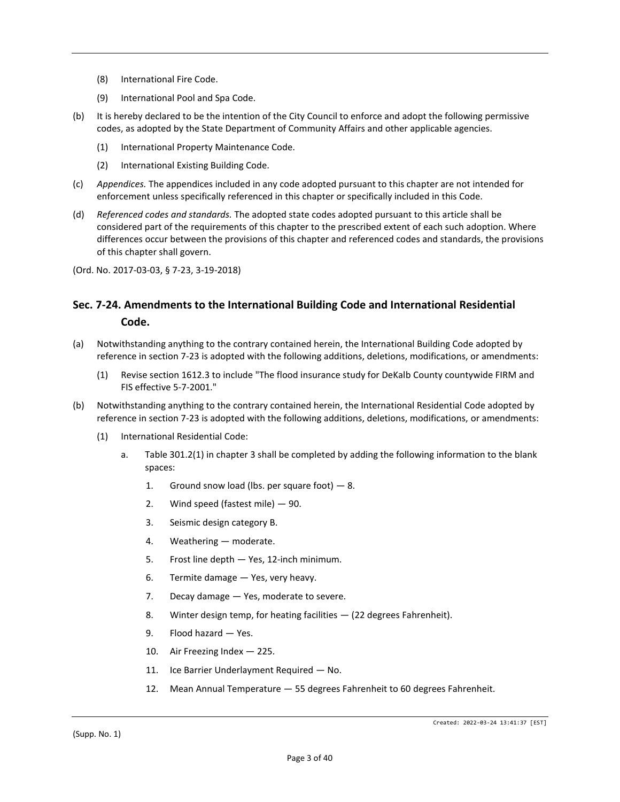- (8) International Fire Code.
- (9) International Pool and Spa Code.
- (b) It is hereby declared to be the intention of the City Council to enforce and adopt the following permissive codes, as adopted by the State Department of Community Affairs and other applicable agencies.
	- (1) International Property Maintenance Code.
	- (2) International Existing Building Code.
- (c) *Appendices.* The appendices included in any code adopted pursuant to this chapter are not intended for enforcement unless specifically referenced in this chapter or specifically included in this Code.
- (d) *Referenced codes and standards.* The adopted state codes adopted pursuant to this article shall be considered part of the requirements of this chapter to the prescribed extent of each such adoption. Where differences occur between the provisions of this chapter and referenced codes and standards, the provisions of this chapter shall govern.
- (Ord. No. 2017-03-03, § 7-23, 3-19-2018)

## **Sec. 7-24. Amendments to the International Building Code and International Residential Code.**

- (a) Notwithstanding anything to the contrary contained herein, the International Building Code adopted by reference in section 7-23 is adopted with the following additions, deletions, modifications, or amendments:
	- (1) Revise section 1612.3 to include "The flood insurance study for DeKalb County countywide FIRM and FIS effective 5-7-2001."
- (b) Notwithstanding anything to the contrary contained herein, the International Residential Code adopted by reference in section 7-23 is adopted with the following additions, deletions, modifications, or amendments:
	- (1) International Residential Code:
		- a. Table 301.2(1) in chapter 3 shall be completed by adding the following information to the blank spaces:
			- 1. Ground snow load (lbs. per square foot)  $-8$ .
			- 2. Wind speed (fastest mile) 90.
			- 3. Seismic design category B.
			- 4. Weathering moderate.
			- 5. Frost line depth Yes, 12-inch minimum.
			- 6. Termite damage Yes, very heavy.
			- 7. Decay damage Yes, moderate to severe.
			- 8. Winter design temp, for heating facilities (22 degrees Fahrenheit).
			- 9. Flood hazard Yes.
			- 10. Air Freezing Index 225.
			- 11. Ice Barrier Underlayment Required No.
			- 12. Mean Annual Temperature 55 degrees Fahrenheit to 60 degrees Fahrenheit.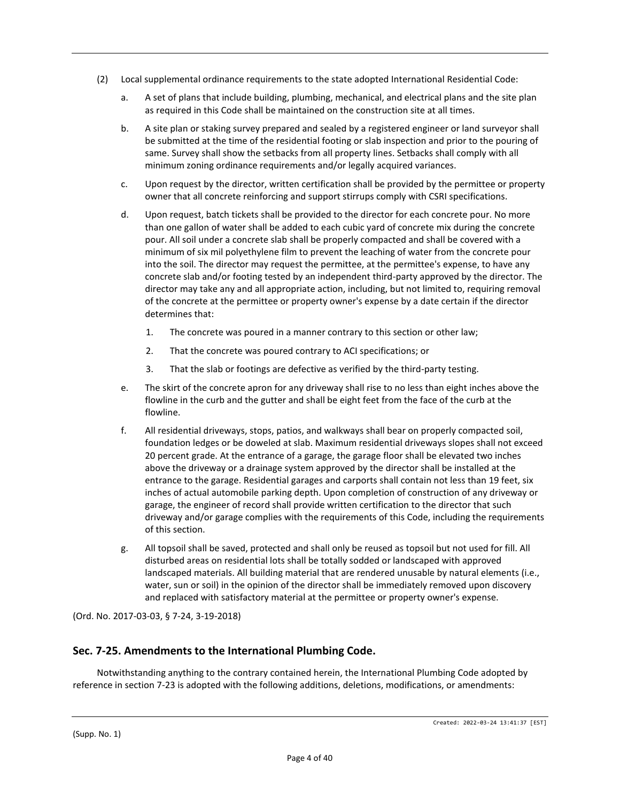- (2) Local supplemental ordinance requirements to the state adopted International Residential Code:
	- a. A set of plans that include building, plumbing, mechanical, and electrical plans and the site plan as required in this Code shall be maintained on the construction site at all times.
	- b. A site plan or staking survey prepared and sealed by a registered engineer or land surveyor shall be submitted at the time of the residential footing or slab inspection and prior to the pouring of same. Survey shall show the setbacks from all property lines. Setbacks shall comply with all minimum zoning ordinance requirements and/or legally acquired variances.
	- c. Upon request by the director, written certification shall be provided by the permittee or property owner that all concrete reinforcing and support stirrups comply with CSRI specifications.
	- d. Upon request, batch tickets shall be provided to the director for each concrete pour. No more than one gallon of water shall be added to each cubic yard of concrete mix during the concrete pour. All soil under a concrete slab shall be properly compacted and shall be covered with a minimum of six mil polyethylene film to prevent the leaching of water from the concrete pour into the soil. The director may request the permittee, at the permittee's expense, to have any concrete slab and/or footing tested by an independent third-party approved by the director. The director may take any and all appropriate action, including, but not limited to, requiring removal of the concrete at the permittee or property owner's expense by a date certain if the director determines that:
		- 1. The concrete was poured in a manner contrary to this section or other law;
		- 2. That the concrete was poured contrary to ACI specifications; or
		- 3. That the slab or footings are defective as verified by the third-party testing.
	- e. The skirt of the concrete apron for any driveway shall rise to no less than eight inches above the flowline in the curb and the gutter and shall be eight feet from the face of the curb at the flowline.
	- f. All residential driveways, stops, patios, and walkways shall bear on properly compacted soil, foundation ledges or be doweled at slab. Maximum residential driveways slopes shall not exceed 20 percent grade. At the entrance of a garage, the garage floor shall be elevated two inches above the driveway or a drainage system approved by the director shall be installed at the entrance to the garage. Residential garages and carports shall contain not less than 19 feet, six inches of actual automobile parking depth. Upon completion of construction of any driveway or garage, the engineer of record shall provide written certification to the director that such driveway and/or garage complies with the requirements of this Code, including the requirements of this section.
	- g. All topsoil shall be saved, protected and shall only be reused as topsoil but not used for fill. All disturbed areas on residential lots shall be totally sodded or landscaped with approved landscaped materials. All building material that are rendered unusable by natural elements (i.e., water, sun or soil) in the opinion of the director shall be immediately removed upon discovery and replaced with satisfactory material at the permittee or property owner's expense.

(Ord. No. 2017-03-03, § 7-24, 3-19-2018)

## **Sec. 7-25. Amendments to the International Plumbing Code.**

Notwithstanding anything to the contrary contained herein, the International Plumbing Code adopted by reference in section 7-23 is adopted with the following additions, deletions, modifications, or amendments: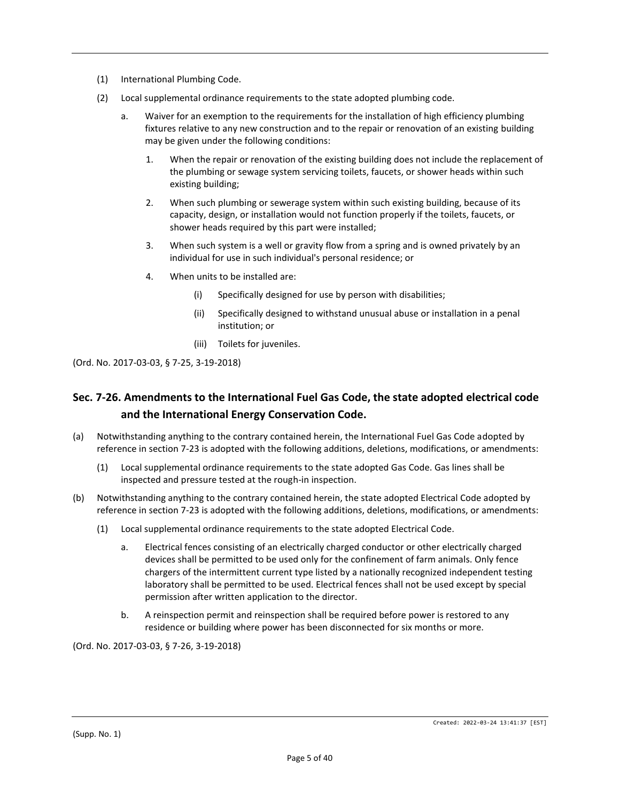- (1) International Plumbing Code.
- (2) Local supplemental ordinance requirements to the state adopted plumbing code.
	- a. Waiver for an exemption to the requirements for the installation of high efficiency plumbing fixtures relative to any new construction and to the repair or renovation of an existing building may be given under the following conditions:
		- 1. When the repair or renovation of the existing building does not include the replacement of the plumbing or sewage system servicing toilets, faucets, or shower heads within such existing building;
		- 2. When such plumbing or sewerage system within such existing building, because of its capacity, design, or installation would not function properly if the toilets, faucets, or shower heads required by this part were installed;
		- 3. When such system is a well or gravity flow from a spring and is owned privately by an individual for use in such individual's personal residence; or
		- 4. When units to be installed are:
			- (i) Specifically designed for use by person with disabilities;
			- (ii) Specifically designed to withstand unusual abuse or installation in a penal institution; or
			- (iii) Toilets for juveniles.

(Ord. No. 2017-03-03, § 7-25, 3-19-2018)

## **Sec. 7-26. Amendments to the International Fuel Gas Code, the state adopted electrical code and the International Energy Conservation Code.**

- (a) Notwithstanding anything to the contrary contained herein, the International Fuel Gas Code adopted by reference in section 7-23 is adopted with the following additions, deletions, modifications, or amendments:
	- (1) Local supplemental ordinance requirements to the state adopted Gas Code. Gas lines shall be inspected and pressure tested at the rough-in inspection.
- (b) Notwithstanding anything to the contrary contained herein, the state adopted Electrical Code adopted by reference in section 7-23 is adopted with the following additions, deletions, modifications, or amendments:
	- (1) Local supplemental ordinance requirements to the state adopted Electrical Code.
		- a. Electrical fences consisting of an electrically charged conductor or other electrically charged devices shall be permitted to be used only for the confinement of farm animals. Only fence chargers of the intermittent current type listed by a nationally recognized independent testing laboratory shall be permitted to be used. Electrical fences shall not be used except by special permission after written application to the director.
		- b. A reinspection permit and reinspection shall be required before power is restored to any residence or building where power has been disconnected for six months or more.

(Ord. No. 2017-03-03, § 7-26, 3-19-2018)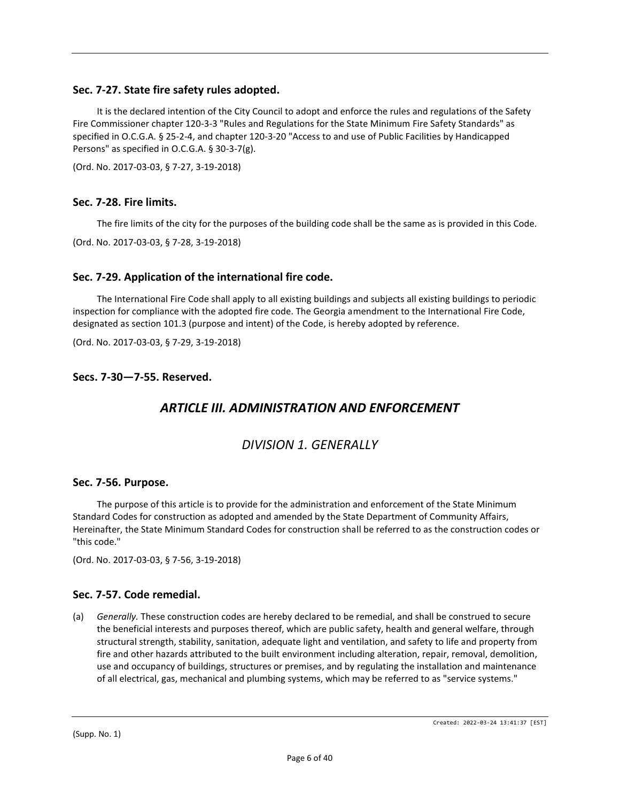## **Sec. 7-27. State fire safety rules adopted.**

It is the declared intention of the City Council to adopt and enforce the rules and regulations of the Safety Fire Commissioner chapter 120-3-3 "Rules and Regulations for the State Minimum Fire Safety Standards" as specified in O.C.G.A. § 25-2-4, and chapter 120-3-20 "Access to and use of Public Facilities by Handicapped Persons" as specified in O.C.G.A. § 30-3-7(g).

(Ord. No. 2017-03-03, § 7-27, 3-19-2018)

#### **Sec. 7-28. Fire limits.**

The fire limits of the city for the purposes of the building code shall be the same as is provided in this Code.

(Ord. No. 2017-03-03, § 7-28, 3-19-2018)

#### **Sec. 7-29. Application of the international fire code.**

The International Fire Code shall apply to all existing buildings and subjects all existing buildings to periodic inspection for compliance with the adopted fire code. The Georgia amendment to the International Fire Code, designated as section 101.3 (purpose and intent) of the Code, is hereby adopted by reference.

(Ord. No. 2017-03-03, § 7-29, 3-19-2018)

#### **Secs. 7-30—7-55. Reserved.**

## *ARTICLE III. ADMINISTRATION AND ENFORCEMENT*

## *DIVISION 1. GENERALLY*

#### **Sec. 7-56. Purpose.**

The purpose of this article is to provide for the administration and enforcement of the State Minimum Standard Codes for construction as adopted and amended by the State Department of Community Affairs, Hereinafter, the State Minimum Standard Codes for construction shall be referred to as the construction codes or "this code."

(Ord. No. 2017-03-03, § 7-56, 3-19-2018)

#### **Sec. 7-57. Code remedial.**

(a) *Generally.* These construction codes are hereby declared to be remedial, and shall be construed to secure the beneficial interests and purposes thereof, which are public safety, health and general welfare, through structural strength, stability, sanitation, adequate light and ventilation, and safety to life and property from fire and other hazards attributed to the built environment including alteration, repair, removal, demolition, use and occupancy of buildings, structures or premises, and by regulating the installation and maintenance of all electrical, gas, mechanical and plumbing systems, which may be referred to as "service systems."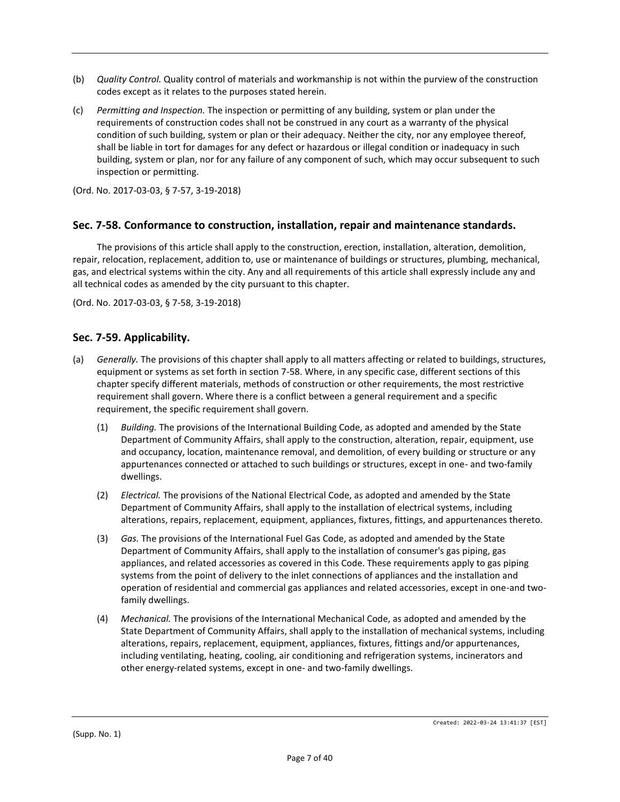- (b) *Quality Control.* Quality control of materials and workmanship is not within the purview of the construction codes except as it relates to the purposes stated herein.
- (c) *Permitting and Inspection.* The inspection or permitting of any building, system or plan under the requirements of construction codes shall not be construed in any court as a warranty of the physical condition of such building, system or plan or their adequacy. Neither the city, nor any employee thereof, shall be liable in tort for damages for any defect or hazardous or illegal condition or inadequacy in such building, system or plan, nor for any failure of any component of such, which may occur subsequent to such inspection or permitting.

(Ord. No. 2017-03-03, § 7-57, 3-19-2018)

### **Sec. 7-58. Conformance to construction, installation, repair and maintenance standards.**

The provisions of this article shall apply to the construction, erection, installation, alteration, demolition, repair, relocation, replacement, addition to, use or maintenance of buildings or structures, plumbing, mechanical, gas, and electrical systems within the city. Any and all requirements of this article shall expressly include any and all technical codes as amended by the city pursuant to this chapter.

(Ord. No. 2017-03-03, § 7-58, 3-19-2018)

#### **Sec. 7-59. Applicability.**

- (a) *Generally.* The provisions of this chapter shall apply to all matters affecting or related to buildings, structures, equipment or systems as set forth in section 7-58. Where, in any specific case, different sections of this chapter specify different materials, methods of construction or other requirements, the most restrictive requirement shall govern. Where there is a conflict between a general requirement and a specific requirement, the specific requirement shall govern.
	- (1) *Building.* The provisions of the International Building Code, as adopted and amended by the State Department of Community Affairs, shall apply to the construction, alteration, repair, equipment, use and occupancy, location, maintenance removal, and demolition, of every building or structure or any appurtenances connected or attached to such buildings or structures, except in one- and two-family dwellings.
	- (2) *Electrical.* The provisions of the National Electrical Code, as adopted and amended by the State Department of Community Affairs, shall apply to the installation of electrical systems, including alterations, repairs, replacement, equipment, appliances, fixtures, fittings, and appurtenances thereto.
	- (3) *Gas.* The provisions of the International Fuel Gas Code, as adopted and amended by the State Department of Community Affairs, shall apply to the installation of consumer's gas piping, gas appliances, and related accessories as covered in this Code. These requirements apply to gas piping systems from the point of delivery to the inlet connections of appliances and the installation and operation of residential and commercial gas appliances and related accessories, except in one-and twofamily dwellings.
	- (4) *Mechanical.* The provisions of the International Mechanical Code, as adopted and amended by the State Department of Community Affairs, shall apply to the installation of mechanical systems, including alterations, repairs, replacement, equipment, appliances, fixtures, fittings and/or appurtenances, including ventilating, heating, cooling, air conditioning and refrigeration systems, incinerators and other energy-related systems, except in one- and two-family dwellings.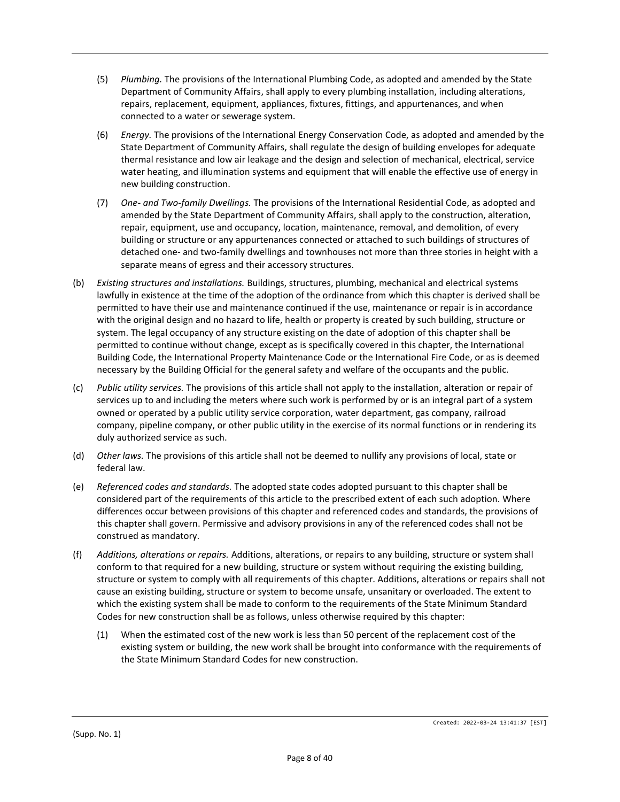- (5) *Plumbing.* The provisions of the International Plumbing Code, as adopted and amended by the State Department of Community Affairs, shall apply to every plumbing installation, including alterations, repairs, replacement, equipment, appliances, fixtures, fittings, and appurtenances, and when connected to a water or sewerage system.
- (6) *Energy.* The provisions of the International Energy Conservation Code, as adopted and amended by the State Department of Community Affairs, shall regulate the design of building envelopes for adequate thermal resistance and low air leakage and the design and selection of mechanical, electrical, service water heating, and illumination systems and equipment that will enable the effective use of energy in new building construction.
- (7) *One- and Two-family Dwellings.* The provisions of the International Residential Code, as adopted and amended by the State Department of Community Affairs, shall apply to the construction, alteration, repair, equipment, use and occupancy, location, maintenance, removal, and demolition, of every building or structure or any appurtenances connected or attached to such buildings of structures of detached one- and two-family dwellings and townhouses not more than three stories in height with a separate means of egress and their accessory structures.
- (b) *Existing structures and installations.* Buildings, structures, plumbing, mechanical and electrical systems lawfully in existence at the time of the adoption of the ordinance from which this chapter is derived shall be permitted to have their use and maintenance continued if the use, maintenance or repair is in accordance with the original design and no hazard to life, health or property is created by such building, structure or system. The legal occupancy of any structure existing on the date of adoption of this chapter shall be permitted to continue without change, except as is specifically covered in this chapter, the International Building Code, the International Property Maintenance Code or the International Fire Code, or as is deemed necessary by the Building Official for the general safety and welfare of the occupants and the public.
- (c) *Public utility services.* The provisions of this article shall not apply to the installation, alteration or repair of services up to and including the meters where such work is performed by or is an integral part of a system owned or operated by a public utility service corporation, water department, gas company, railroad company, pipeline company, or other public utility in the exercise of its normal functions or in rendering its duly authorized service as such.
- (d) *Other laws.* The provisions of this article shall not be deemed to nullify any provisions of local, state or federal law.
- (e) *Referenced codes and standards.* The adopted state codes adopted pursuant to this chapter shall be considered part of the requirements of this article to the prescribed extent of each such adoption. Where differences occur between provisions of this chapter and referenced codes and standards, the provisions of this chapter shall govern. Permissive and advisory provisions in any of the referenced codes shall not be construed as mandatory.
- (f) *Additions, alterations or repairs.* Additions, alterations, or repairs to any building, structure or system shall conform to that required for a new building, structure or system without requiring the existing building, structure or system to comply with all requirements of this chapter. Additions, alterations or repairs shall not cause an existing building, structure or system to become unsafe, unsanitary or overloaded. The extent to which the existing system shall be made to conform to the requirements of the State Minimum Standard Codes for new construction shall be as follows, unless otherwise required by this chapter:
	- (1) When the estimated cost of the new work is less than 50 percent of the replacement cost of the existing system or building, the new work shall be brought into conformance with the requirements of the State Minimum Standard Codes for new construction.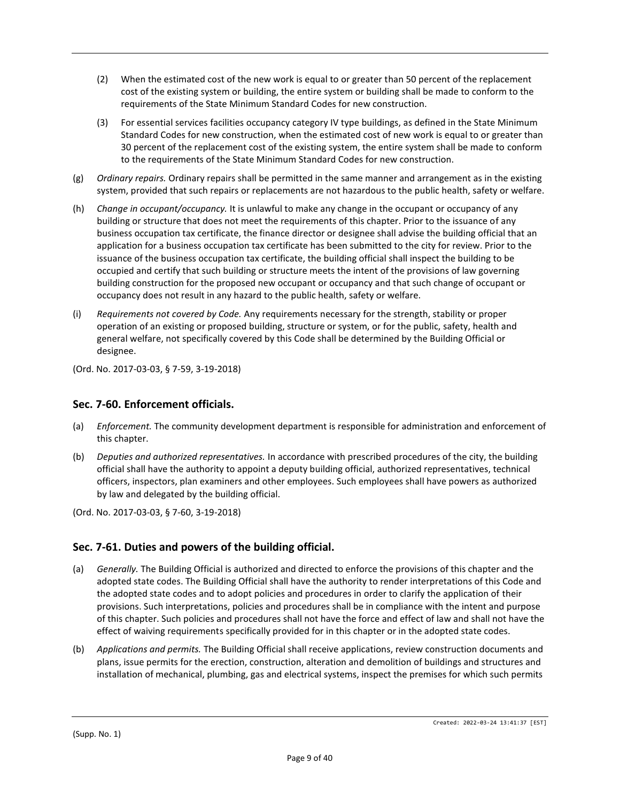- (2) When the estimated cost of the new work is equal to or greater than 50 percent of the replacement cost of the existing system or building, the entire system or building shall be made to conform to the requirements of the State Minimum Standard Codes for new construction.
- (3) For essential services facilities occupancy category IV type buildings, as defined in the State Minimum Standard Codes for new construction, when the estimated cost of new work is equal to or greater than 30 percent of the replacement cost of the existing system, the entire system shall be made to conform to the requirements of the State Minimum Standard Codes for new construction.
- (g) *Ordinary repairs.* Ordinary repairs shall be permitted in the same manner and arrangement as in the existing system, provided that such repairs or replacements are not hazardous to the public health, safety or welfare.
- (h) *Change in occupant/occupancy.* It is unlawful to make any change in the occupant or occupancy of any building or structure that does not meet the requirements of this chapter. Prior to the issuance of any business occupation tax certificate, the finance director or designee shall advise the building official that an application for a business occupation tax certificate has been submitted to the city for review. Prior to the issuance of the business occupation tax certificate, the building official shall inspect the building to be occupied and certify that such building or structure meets the intent of the provisions of law governing building construction for the proposed new occupant or occupancy and that such change of occupant or occupancy does not result in any hazard to the public health, safety or welfare.
- (i) *Requirements not covered by Code.* Any requirements necessary for the strength, stability or proper operation of an existing or proposed building, structure or system, or for the public, safety, health and general welfare, not specifically covered by this Code shall be determined by the Building Official or designee.

(Ord. No. 2017-03-03, § 7-59, 3-19-2018)

## **Sec. 7-60. Enforcement officials.**

- (a) *Enforcement.* The community development department is responsible for administration and enforcement of this chapter.
- (b) *Deputies and authorized representatives.* In accordance with prescribed procedures of the city, the building official shall have the authority to appoint a deputy building official, authorized representatives, technical officers, inspectors, plan examiners and other employees. Such employees shall have powers as authorized by law and delegated by the building official.
- (Ord. No. 2017-03-03, § 7-60, 3-19-2018)

## **Sec. 7-61. Duties and powers of the building official.**

- (a) *Generally.* The Building Official is authorized and directed to enforce the provisions of this chapter and the adopted state codes. The Building Official shall have the authority to render interpretations of this Code and the adopted state codes and to adopt policies and procedures in order to clarify the application of their provisions. Such interpretations, policies and procedures shall be in compliance with the intent and purpose of this chapter. Such policies and procedures shall not have the force and effect of law and shall not have the effect of waiving requirements specifically provided for in this chapter or in the adopted state codes.
- (b) *Applications and permits.* The Building Official shall receive applications, review construction documents and plans, issue permits for the erection, construction, alteration and demolition of buildings and structures and installation of mechanical, plumbing, gas and electrical systems, inspect the premises for which such permits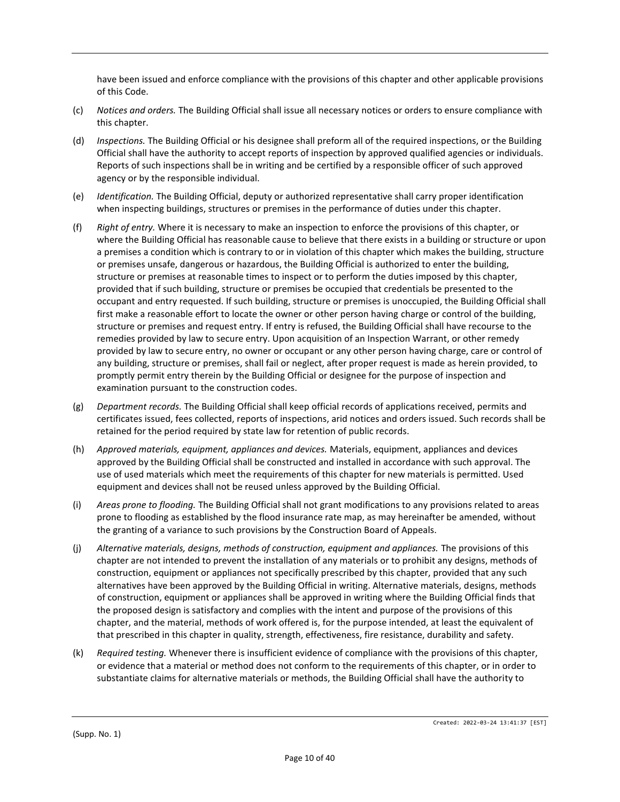have been issued and enforce compliance with the provisions of this chapter and other applicable provisions of this Code.

- (c) *Notices and orders.* The Building Official shall issue all necessary notices or orders to ensure compliance with this chapter.
- (d) *Inspections.* The Building Official or his designee shall preform all of the required inspections, or the Building Official shall have the authority to accept reports of inspection by approved qualified agencies or individuals. Reports of such inspections shall be in writing and be certified by a responsible officer of such approved agency or by the responsible individual.
- (e) *Identification.* The Building Official, deputy or authorized representative shall carry proper identification when inspecting buildings, structures or premises in the performance of duties under this chapter.
- (f) *Right of entry.* Where it is necessary to make an inspection to enforce the provisions of this chapter, or where the Building Official has reasonable cause to believe that there exists in a building or structure or upon a premises a condition which is contrary to or in violation of this chapter which makes the building, structure or premises unsafe, dangerous or hazardous, the Building Official is authorized to enter the building, structure or premises at reasonable times to inspect or to perform the duties imposed by this chapter, provided that if such building, structure or premises be occupied that credentials be presented to the occupant and entry requested. If such building, structure or premises is unoccupied, the Building Official shall first make a reasonable effort to locate the owner or other person having charge or control of the building, structure or premises and request entry. If entry is refused, the Building Official shall have recourse to the remedies provided by law to secure entry. Upon acquisition of an Inspection Warrant, or other remedy provided by law to secure entry, no owner or occupant or any other person having charge, care or control of any building, structure or premises, shall fail or neglect, after proper request is made as herein provided, to promptly permit entry therein by the Building Official or designee for the purpose of inspection and examination pursuant to the construction codes.
- (g) *Department records.* The Building Official shall keep official records of applications received, permits and certificates issued, fees collected, reports of inspections, arid notices and orders issued. Such records shall be retained for the period required by state law for retention of public records.
- (h) *Approved materials, equipment, appliances and devices.* Materials, equipment, appliances and devices approved by the Building Official shall be constructed and installed in accordance with such approval. The use of used materials which meet the requirements of this chapter for new materials is permitted. Used equipment and devices shall not be reused unless approved by the Building Official.
- (i) *Areas prone to flooding.* The Building Official shall not grant modifications to any provisions related to areas prone to flooding as established by the flood insurance rate map, as may hereinafter be amended, without the granting of a variance to such provisions by the Construction Board of Appeals.
- (j) *Alternative materials, designs, methods of construction, equipment and appliances.* The provisions of this chapter are not intended to prevent the installation of any materials or to prohibit any designs, methods of construction, equipment or appliances not specifically prescribed by this chapter, provided that any such alternatives have been approved by the Building Official in writing. Alternative materials, designs, methods of construction, equipment or appliances shall be approved in writing where the Building Official finds that the proposed design is satisfactory and complies with the intent and purpose of the provisions of this chapter, and the material, methods of work offered is, for the purpose intended, at least the equivalent of that prescribed in this chapter in quality, strength, effectiveness, fire resistance, durability and safety.
- (k) *Required testing.* Whenever there is insufficient evidence of compliance with the provisions of this chapter, or evidence that a material or method does not conform to the requirements of this chapter, or in order to substantiate claims for alternative materials or methods, the Building Official shall have the authority to

(Supp. No. 1)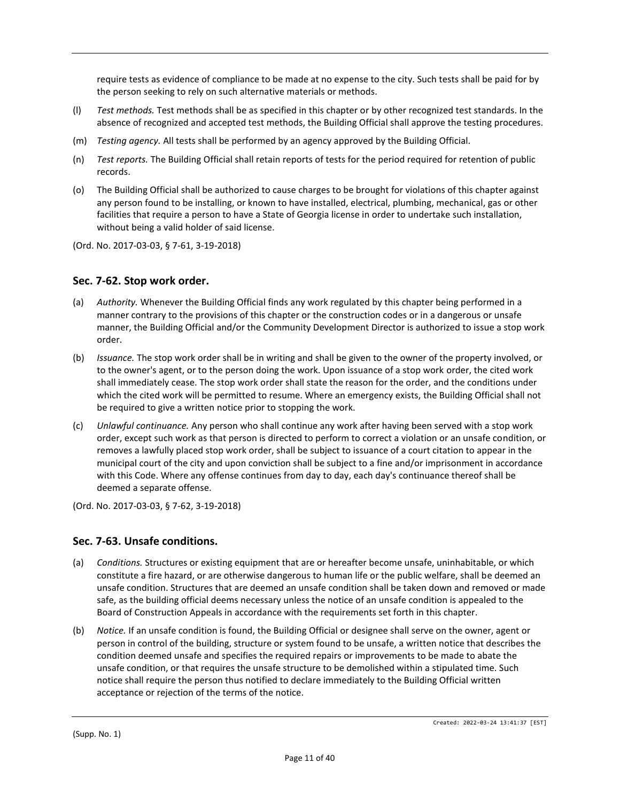require tests as evidence of compliance to be made at no expense to the city. Such tests shall be paid for by the person seeking to rely on such alternative materials or methods.

- (l) *Test methods.* Test methods shall be as specified in this chapter or by other recognized test standards. In the absence of recognized and accepted test methods, the Building Official shall approve the testing procedures.
- (m) *Testing agency.* All tests shall be performed by an agency approved by the Building Official.
- (n) *Test reports.* The Building Official shall retain reports of tests for the period required for retention of public records.
- (o) The Building Official shall be authorized to cause charges to be brought for violations of this chapter against any person found to be installing, or known to have installed, electrical, plumbing, mechanical, gas or other facilities that require a person to have a State of Georgia license in order to undertake such installation, without being a valid holder of said license.
- (Ord. No. 2017-03-03, § 7-61, 3-19-2018)

### **Sec. 7-62. Stop work order.**

- (a) *Authority.* Whenever the Building Official finds any work regulated by this chapter being performed in a manner contrary to the provisions of this chapter or the construction codes or in a dangerous or unsafe manner, the Building Official and/or the Community Development Director is authorized to issue a stop work order.
- (b) *Issuance.* The stop work order shall be in writing and shall be given to the owner of the property involved, or to the owner's agent, or to the person doing the work. Upon issuance of a stop work order, the cited work shall immediately cease. The stop work order shall state the reason for the order, and the conditions under which the cited work will be permitted to resume. Where an emergency exists, the Building Official shall not be required to give a written notice prior to stopping the work.
- (c) *Unlawful continuance.* Any person who shall continue any work after having been served with a stop work order, except such work as that person is directed to perform to correct a violation or an unsafe condition, or removes a lawfully placed stop work order, shall be subject to issuance of a court citation to appear in the municipal court of the city and upon conviction shall be subject to a fine and/or imprisonment in accordance with this Code. Where any offense continues from day to day, each day's continuance thereof shall be deemed a separate offense.

(Ord. No. 2017-03-03, § 7-62, 3-19-2018)

#### **Sec. 7-63. Unsafe conditions.**

- (a) *Conditions.* Structures or existing equipment that are or hereafter become unsafe, uninhabitable, or which constitute a fire hazard, or are otherwise dangerous to human life or the public welfare, shall be deemed an unsafe condition. Structures that are deemed an unsafe condition shall be taken down and removed or made safe, as the building official deems necessary unless the notice of an unsafe condition is appealed to the Board of Construction Appeals in accordance with the requirements set forth in this chapter.
- (b) *Notice.* If an unsafe condition is found, the Building Official or designee shall serve on the owner, agent or person in control of the building, structure or system found to be unsafe, a written notice that describes the condition deemed unsafe and specifies the required repairs or improvements to be made to abate the unsafe condition, or that requires the unsafe structure to be demolished within a stipulated time. Such notice shall require the person thus notified to declare immediately to the Building Official written acceptance or rejection of the terms of the notice.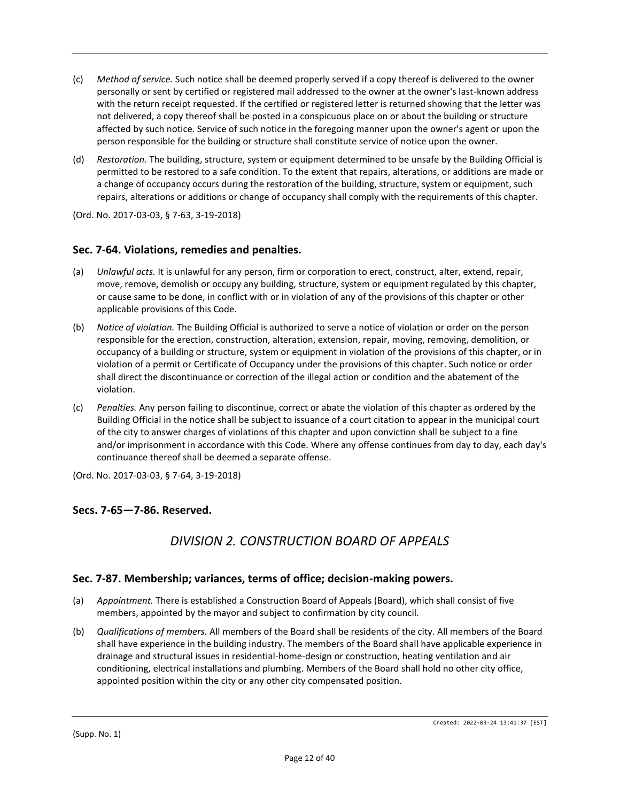- (c) *Method of service.* Such notice shall be deemed properly served if a copy thereof is delivered to the owner personally or sent by certified or registered mail addressed to the owner at the owner's last-known address with the return receipt requested. If the certified or registered letter is returned showing that the letter was not delivered, a copy thereof shall be posted in a conspicuous place on or about the building or structure affected by such notice. Service of such notice in the foregoing manner upon the owner's agent or upon the person responsible for the building or structure shall constitute service of notice upon the owner.
- (d) *Restoration.* The building, structure, system or equipment determined to be unsafe by the Building Official is permitted to be restored to a safe condition. To the extent that repairs, alterations, or additions are made or a change of occupancy occurs during the restoration of the building, structure, system or equipment, such repairs, alterations or additions or change of occupancy shall comply with the requirements of this chapter.

(Ord. No. 2017-03-03, § 7-63, 3-19-2018)

### **Sec. 7-64. Violations, remedies and penalties.**

- (a) *Unlawful acts.* It is unlawful for any person, firm or corporation to erect, construct, alter, extend, repair, move, remove, demolish or occupy any building, structure, system or equipment regulated by this chapter, or cause same to be done, in conflict with or in violation of any of the provisions of this chapter or other applicable provisions of this Code.
- (b) *Notice of violation.* The Building Official is authorized to serve a notice of violation or order on the person responsible for the erection, construction, alteration, extension, repair, moving, removing, demolition, or occupancy of a building or structure, system or equipment in violation of the provisions of this chapter, or in violation of a permit or Certificate of Occupancy under the provisions of this chapter. Such notice or order shall direct the discontinuance or correction of the illegal action or condition and the abatement of the violation.
- (c) *Penalties.* Any person failing to discontinue, correct or abate the violation of this chapter as ordered by the Building Official in the notice shall be subject to issuance of a court citation to appear in the municipal court of the city to answer charges of violations of this chapter and upon conviction shall be subject to a fine and/or imprisonment in accordance with this Code. Where any offense continues from day to day, each day's continuance thereof shall be deemed a separate offense.

(Ord. No. 2017-03-03, § 7-64, 3-19-2018)

#### **Secs. 7-65—7-86. Reserved.**

# *DIVISION 2. CONSTRUCTION BOARD OF APPEALS*

#### **Sec. 7-87. Membership; variances, terms of office; decision-making powers.**

- (a) *Appointment.* There is established a Construction Board of Appeals (Board), which shall consist of five members, appointed by the mayor and subject to confirmation by city council.
- (b) *Qualifications of members.* All members of the Board shall be residents of the city. All members of the Board shall have experience in the building industry. The members of the Board shall have applicable experience in drainage and structural issues in residential-home-design or construction, heating ventilation and air conditioning, electrical installations and plumbing. Members of the Board shall hold no other city office, appointed position within the city or any other city compensated position.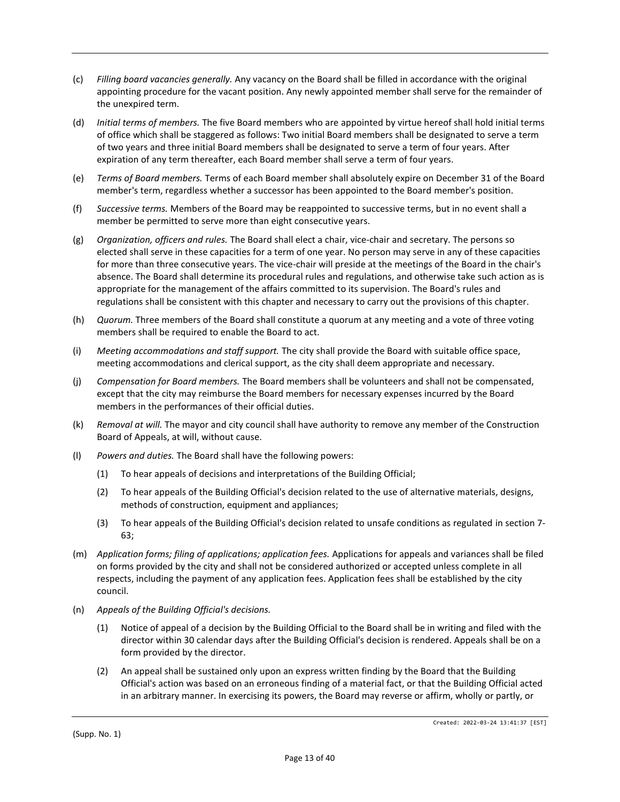- (c) *Filling board vacancies generally.* Any vacancy on the Board shall be filled in accordance with the original appointing procedure for the vacant position. Any newly appointed member shall serve for the remainder of the unexpired term.
- (d) *Initial terms of members.* The five Board members who are appointed by virtue hereof shall hold initial terms of office which shall be staggered as follows: Two initial Board members shall be designated to serve a term of two years and three initial Board members shall be designated to serve a term of four years. After expiration of any term thereafter, each Board member shall serve a term of four years.
- (e) *Terms of Board members.* Terms of each Board member shall absolutely expire on December 31 of the Board member's term, regardless whether a successor has been appointed to the Board member's position.
- (f) *Successive terms.* Members of the Board may be reappointed to successive terms, but in no event shall a member be permitted to serve more than eight consecutive years.
- (g) *Organization, officers and rules.* The Board shall elect a chair, vice-chair and secretary. The persons so elected shall serve in these capacities for a term of one year. No person may serve in any of these capacities for more than three consecutive years. The vice-chair will preside at the meetings of the Board in the chair's absence. The Board shall determine its procedural rules and regulations, and otherwise take such action as is appropriate for the management of the affairs committed to its supervision. The Board's rules and regulations shall be consistent with this chapter and necessary to carry out the provisions of this chapter.
- (h) *Quorum.* Three members of the Board shall constitute a quorum at any meeting and a vote of three voting members shall be required to enable the Board to act.
- (i) *Meeting accommodations and staff support.* The city shall provide the Board with suitable office space, meeting accommodations and clerical support, as the city shall deem appropriate and necessary.
- (j) *Compensation for Board members.* The Board members shall be volunteers and shall not be compensated, except that the city may reimburse the Board members for necessary expenses incurred by the Board members in the performances of their official duties.
- (k) *Removal at will.* The mayor and city council shall have authority to remove any member of the Construction Board of Appeals, at will, without cause.
- (l) *Powers and duties.* The Board shall have the following powers:
	- (1) To hear appeals of decisions and interpretations of the Building Official;
	- (2) To hear appeals of the Building Official's decision related to the use of alternative materials, designs, methods of construction, equipment and appliances;
	- (3) To hear appeals of the Building Official's decision related to unsafe conditions as regulated in section 7- 63;
- (m) *Application forms; filing of applications; application fees.* Applications for appeals and variances shall be filed on forms provided by the city and shall not be considered authorized or accepted unless complete in all respects, including the payment of any application fees. Application fees shall be established by the city council.
- (n) *Appeals of the Building Official's decisions.*
	- (1) Notice of appeal of a decision by the Building Official to the Board shall be in writing and filed with the director within 30 calendar days after the Building Official's decision is rendered. Appeals shall be on a form provided by the director.
	- (2) An appeal shall be sustained only upon an express written finding by the Board that the Building Official's action was based on an erroneous finding of a material fact, or that the Building Official acted in an arbitrary manner. In exercising its powers, the Board may reverse or affirm, wholly or partly, or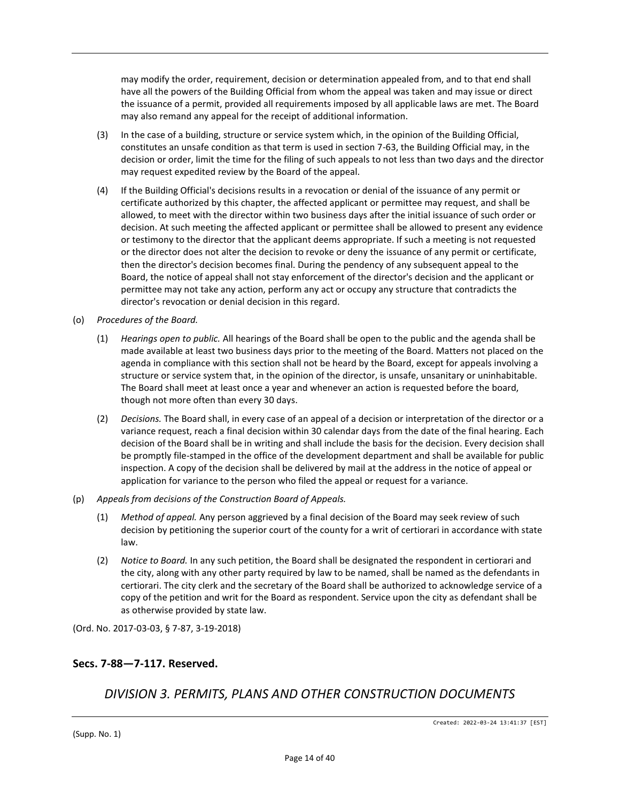may modify the order, requirement, decision or determination appealed from, and to that end shall have all the powers of the Building Official from whom the appeal was taken and may issue or direct the issuance of a permit, provided all requirements imposed by all applicable laws are met. The Board may also remand any appeal for the receipt of additional information.

- (3) In the case of a building, structure or service system which, in the opinion of the Building Official, constitutes an unsafe condition as that term is used in section 7-63, the Building Official may, in the decision or order, limit the time for the filing of such appeals to not less than two days and the director may request expedited review by the Board of the appeal.
- (4) If the Building Official's decisions results in a revocation or denial of the issuance of any permit or certificate authorized by this chapter, the affected applicant or permittee may request, and shall be allowed, to meet with the director within two business days after the initial issuance of such order or decision. At such meeting the affected applicant or permittee shall be allowed to present any evidence or testimony to the director that the applicant deems appropriate. If such a meeting is not requested or the director does not alter the decision to revoke or deny the issuance of any permit or certificate, then the director's decision becomes final. During the pendency of any subsequent appeal to the Board, the notice of appeal shall not stay enforcement of the director's decision and the applicant or permittee may not take any action, perform any act or occupy any structure that contradicts the director's revocation or denial decision in this regard.
- (o) *Procedures of the Board.*
	- (1) *Hearings open to public.* All hearings of the Board shall be open to the public and the agenda shall be made available at least two business days prior to the meeting of the Board. Matters not placed on the agenda in compliance with this section shall not be heard by the Board, except for appeals involving a structure or service system that, in the opinion of the director, is unsafe, unsanitary or uninhabitable. The Board shall meet at least once a year and whenever an action is requested before the board, though not more often than every 30 days.
	- (2) *Decisions.* The Board shall, in every case of an appeal of a decision or interpretation of the director or a variance request, reach a final decision within 30 calendar days from the date of the final hearing. Each decision of the Board shall be in writing and shall include the basis for the decision. Every decision shall be promptly file-stamped in the office of the development department and shall be available for public inspection. A copy of the decision shall be delivered by mail at the address in the notice of appeal or application for variance to the person who filed the appeal or request for a variance.
- (p) *Appeals from decisions of the Construction Board of Appeals.*
	- (1) *Method of appeal.* Any person aggrieved by a final decision of the Board may seek review of such decision by petitioning the superior court of the county for a writ of certiorari in accordance with state law.
	- (2) *Notice to Board.* In any such petition, the Board shall be designated the respondent in certiorari and the city, along with any other party required by law to be named, shall be named as the defendants in certiorari. The city clerk and the secretary of the Board shall be authorized to acknowledge service of a copy of the petition and writ for the Board as respondent. Service upon the city as defendant shall be as otherwise provided by state law.

(Ord. No. 2017-03-03, § 7-87, 3-19-2018)

## **Secs. 7-88—7-117. Reserved.**

# *DIVISION 3. PERMITS, PLANS AND OTHER CONSTRUCTION DOCUMENTS*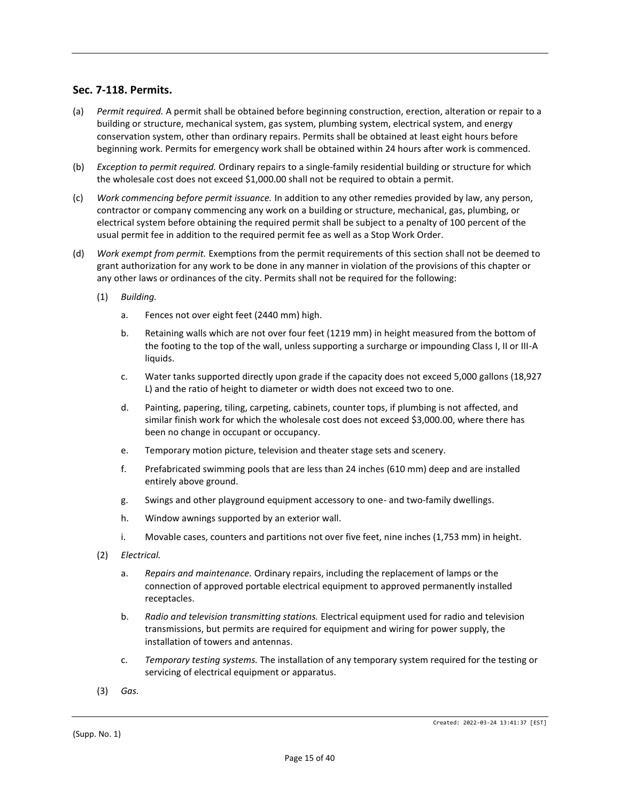### **Sec. 7-118. Permits.**

- (a) *Permit required.* A permit shall be obtained before beginning construction, erection, alteration or repair to a building or structure, mechanical system, gas system, plumbing system, electrical system, and energy conservation system, other than ordinary repairs. Permits shall be obtained at least eight hours before beginning work. Permits for emergency work shall be obtained within 24 hours after work is commenced.
- (b) *Exception to permit required.* Ordinary repairs to a single-family residential building or structure for which the wholesale cost does not exceed \$1,000.00 shall not be required to obtain a permit.
- (c) *Work commencing before permit issuance.* In addition to any other remedies provided by law, any person, contractor or company commencing any work on a building or structure, mechanical, gas, plumbing, or electrical system before obtaining the required permit shall be subject to a penalty of 100 percent of the usual permit fee in addition to the required permit fee as well as a Stop Work Order.
- (d) *Work exempt from permit.* Exemptions from the permit requirements of this section shall not be deemed to grant authorization for any work to be done in any manner in violation of the provisions of this chapter or any other laws or ordinances of the city. Permits shall not be required for the following:
	- (1) *Building.*
		- a. Fences not over eight feet (2440 mm) high.
		- b. Retaining walls which are not over four feet (1219 mm) in height measured from the bottom of the footing to the top of the wall, unless supporting a surcharge or impounding Class I, II or III-A liquids.
		- c. Water tanks supported directly upon grade if the capacity does not exceed 5,000 gallons (18,927 L) and the ratio of height to diameter or width does not exceed two to one.
		- d. Painting, papering, tiling, carpeting, cabinets, counter tops, if plumbing is not affected, and similar finish work for which the wholesale cost does not exceed \$3,000.00, where there has been no change in occupant or occupancy.
		- e. Temporary motion picture, television and theater stage sets and scenery.
		- f. Prefabricated swimming pools that are less than 24 inches (610 mm) deep and are installed entirely above ground.
		- g. Swings and other playground equipment accessory to one- and two-family dwellings.
		- h. Window awnings supported by an exterior wall.
		- i. Movable cases, counters and partitions not over five feet, nine inches (1,753 mm) in height.
	- (2) *Electrical.*
		- a. *Repairs and maintenance.* Ordinary repairs, including the replacement of lamps or the connection of approved portable electrical equipment to approved permanently installed receptacles.
		- b. *Radio and television transmitting stations.* Electrical equipment used for radio and television transmissions, but permits are required for equipment and wiring for power supply, the installation of towers and antennas.
		- c. *Temporary testing systems.* The installation of any temporary system required for the testing or servicing of electrical equipment or apparatus.
	- (3) *Gas.*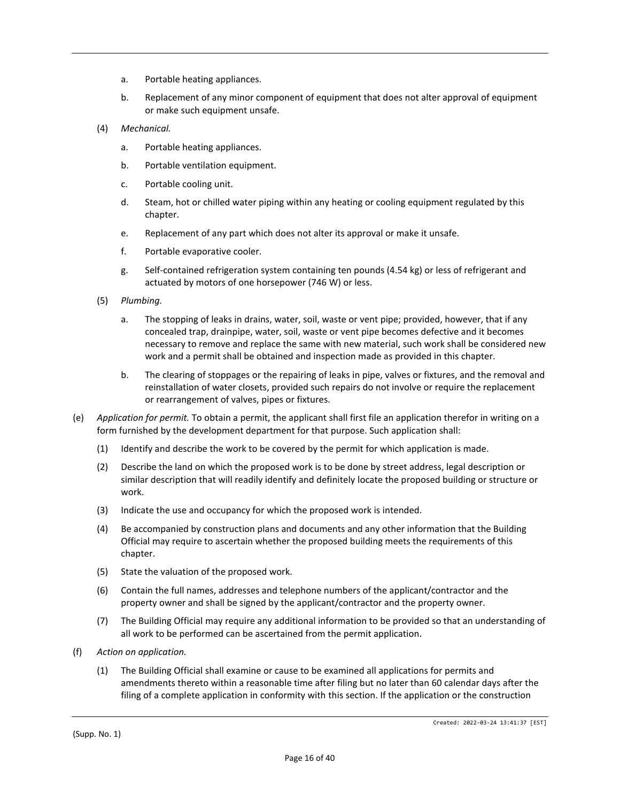- a. Portable heating appliances.
- b. Replacement of any minor component of equipment that does not alter approval of equipment or make such equipment unsafe.
- (4) *Mechanical.*
	- a. Portable heating appliances.
	- b. Portable ventilation equipment.
	- c. Portable cooling unit.
	- d. Steam, hot or chilled water piping within any heating or cooling equipment regulated by this chapter.
	- e. Replacement of any part which does not alter its approval or make it unsafe.
	- f. Portable evaporative cooler.
	- g. Self-contained refrigeration system containing ten pounds (4.54 kg) or less of refrigerant and actuated by motors of one horsepower (746 W) or less.
- (5) *Plumbing.*
	- a. The stopping of leaks in drains, water, soil, waste or vent pipe; provided, however, that if any concealed trap, drainpipe, water, soil, waste or vent pipe becomes defective and it becomes necessary to remove and replace the same with new material, such work shall be considered new work and a permit shall be obtained and inspection made as provided in this chapter.
	- b. The clearing of stoppages or the repairing of leaks in pipe, valves or fixtures, and the removal and reinstallation of water closets, provided such repairs do not involve or require the replacement or rearrangement of valves, pipes or fixtures.
- (e) *Application for permit.* To obtain a permit, the applicant shall first file an application therefor in writing on a form furnished by the development department for that purpose. Such application shall:
	- (1) Identify and describe the work to be covered by the permit for which application is made.
	- (2) Describe the land on which the proposed work is to be done by street address, legal description or similar description that will readily identify and definitely locate the proposed building or structure or work.
	- (3) Indicate the use and occupancy for which the proposed work is intended.
	- (4) Be accompanied by construction plans and documents and any other information that the Building Official may require to ascertain whether the proposed building meets the requirements of this chapter.
	- (5) State the valuation of the proposed work.
	- (6) Contain the full names, addresses and telephone numbers of the applicant/contractor and the property owner and shall be signed by the applicant/contractor and the property owner.
	- (7) The Building Official may require any additional information to be provided so that an understanding of all work to be performed can be ascertained from the permit application.
- (f) *Action on application.*
	- (1) The Building Official shall examine or cause to be examined all applications for permits and amendments thereto within a reasonable time after filing but no later than 60 calendar days after the filing of a complete application in conformity with this section. If the application or the construction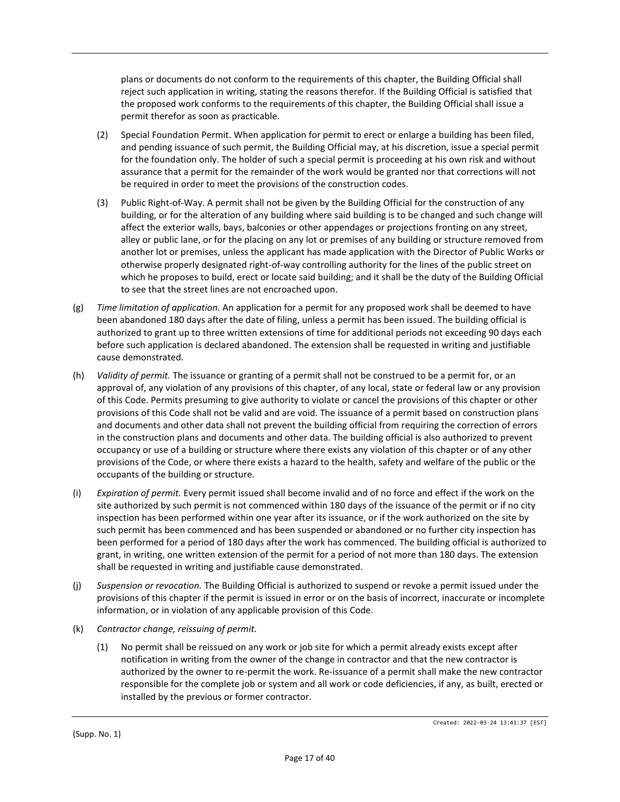plans or documents do not conform to the requirements of this chapter, the Building Official shall reject such application in writing, stating the reasons therefor. If the Building Official is satisfied that the proposed work conforms to the requirements of this chapter, the Building Official shall issue a permit therefor as soon as practicable.

- (2) Special Foundation Permit. When application for permit to erect or enlarge a building has been filed, and pending issuance of such permit, the Building Official may, at his discretion, issue a special permit for the foundation only. The holder of such a special permit is proceeding at his own risk and without assurance that a permit for the remainder of the work would be granted nor that corrections will not be required in order to meet the provisions of the construction codes.
- (3) Public Right-of-Way. A permit shall not be given by the Building Official for the construction of any building, or for the alteration of any building where said building is to be changed and such change will affect the exterior walls, bays, balconies or other appendages or projections fronting on any street, alley or public lane, or for the placing on any lot or premises of any building or structure removed from another lot or premises, unless the applicant has made application with the Director of Public Works or otherwise properly designated right-of-way controlling authority for the lines of the public street on which he proposes to build, erect or locate said building; and it shall be the duty of the Building Official to see that the street lines are not encroached upon.
- (g) *Time limitation of application.* An application for a permit for any proposed work shall be deemed to have been abandoned 180 days after the date of filing, unless a permit has been issued. The building official is authorized to grant up to three written extensions of time for additional periods not exceeding 90 days each before such application is declared abandoned. The extension shall be requested in writing and justifiable cause demonstrated.
- (h) *Validity of permit.* The issuance or granting of a permit shall not be construed to be a permit for, or an approval of, any violation of any provisions of this chapter, of any local, state or federal law or any provision of this Code. Permits presuming to give authority to violate or cancel the provisions of this chapter or other provisions of this Code shall not be valid and are void. The issuance of a permit based on construction plans and documents and other data shall not prevent the building official from requiring the correction of errors in the construction plans and documents and other data. The building official is also authorized to prevent occupancy or use of a building or structure where there exists any violation of this chapter or of any other provisions of the Code, or where there exists a hazard to the health, safety and welfare of the public or the occupants of the building or structure.
- (i) *Expiration of permit.* Every permit issued shall become invalid and of no force and effect if the work on the site authorized by such permit is not commenced within 180 days of the issuance of the permit or if no city inspection has been performed within one year after its issuance, or if the work authorized on the site by such permit has been commenced and has been suspended or abandoned or no further city inspection has been performed for a period of 180 days after the work has commenced. The building official is authorized to grant, in writing, one written extension of the permit for a period of not more than 180 days. The extension shall be requested in writing and justifiable cause demonstrated.
- (j) *Suspension or revocation.* The Building Official is authorized to suspend or revoke a permit issued under the provisions of this chapter if the permit is issued in error or on the basis of incorrect, inaccurate or incomplete information, or in violation of any applicable provision of this Code.
- (k) *Contractor change, reissuing of permit.*
	- (1) No permit shall be reissued on any work or job site for which a permit already exists except after notification in writing from the owner of the change in contractor and that the new contractor is authorized by the owner to re-permit the work. Re-issuance of a permit shall make the new contractor responsible for the complete job or system and all work or code deficiencies, if any, as built, erected or installed by the previous or former contractor.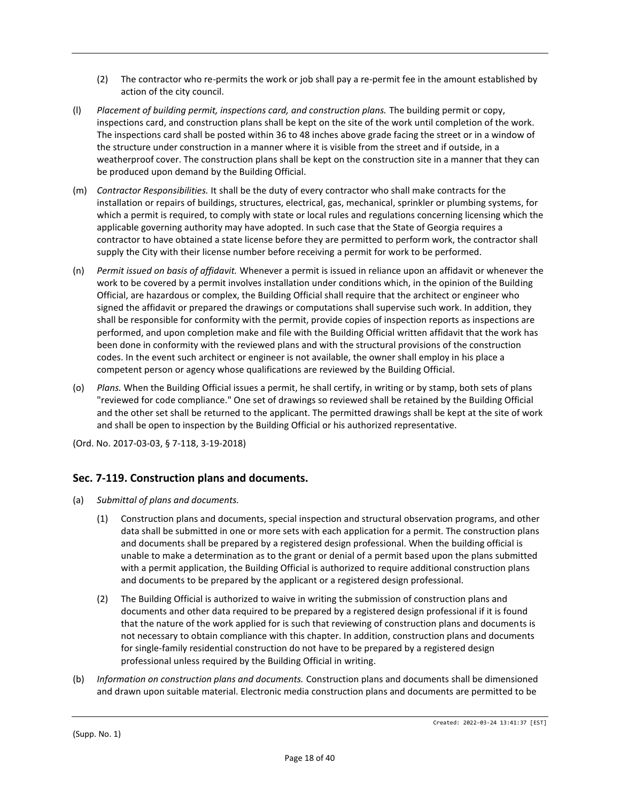- (2) The contractor who re-permits the work or job shall pay a re-permit fee in the amount established by action of the city council.
- (l) *Placement of building permit, inspections card, and construction plans.* The building permit or copy, inspections card, and construction plans shall be kept on the site of the work until completion of the work. The inspections card shall be posted within 36 to 48 inches above grade facing the street or in a window of the structure under construction in a manner where it is visible from the street and if outside, in a weatherproof cover. The construction plans shall be kept on the construction site in a manner that they can be produced upon demand by the Building Official.
- (m) *Contractor Responsibilities.* It shall be the duty of every contractor who shall make contracts for the installation or repairs of buildings, structures, electrical, gas, mechanical, sprinkler or plumbing systems, for which a permit is required, to comply with state or local rules and regulations concerning licensing which the applicable governing authority may have adopted. In such case that the State of Georgia requires a contractor to have obtained a state license before they are permitted to perform work, the contractor shall supply the City with their license number before receiving a permit for work to be performed.
- (n) *Permit issued on basis of affidavit.* Whenever a permit is issued in reliance upon an affidavit or whenever the work to be covered by a permit involves installation under conditions which, in the opinion of the Building Official, are hazardous or complex, the Building Official shall require that the architect or engineer who signed the affidavit or prepared the drawings or computations shall supervise such work. In addition, they shall be responsible for conformity with the permit, provide copies of inspection reports as inspections are performed, and upon completion make and file with the Building Official written affidavit that the work has been done in conformity with the reviewed plans and with the structural provisions of the construction codes. In the event such architect or engineer is not available, the owner shall employ in his place a competent person or agency whose qualifications are reviewed by the Building Official.
- (o) *Plans.* When the Building Official issues a permit, he shall certify, in writing or by stamp, both sets of plans "reviewed for code compliance." One set of drawings so reviewed shall be retained by the Building Official and the other set shall be returned to the applicant. The permitted drawings shall be kept at the site of work and shall be open to inspection by the Building Official or his authorized representative.
- (Ord. No. 2017-03-03, § 7-118, 3-19-2018)

## **Sec. 7-119. Construction plans and documents.**

- (a) *Submittal of plans and documents.*
	- (1) Construction plans and documents, special inspection and structural observation programs, and other data shall be submitted in one or more sets with each application for a permit. The construction plans and documents shall be prepared by a registered design professional. When the building official is unable to make a determination as to the grant or denial of a permit based upon the plans submitted with a permit application, the Building Official is authorized to require additional construction plans and documents to be prepared by the applicant or a registered design professional.
	- (2) The Building Official is authorized to waive in writing the submission of construction plans and documents and other data required to be prepared by a registered design professional if it is found that the nature of the work applied for is such that reviewing of construction plans and documents is not necessary to obtain compliance with this chapter. In addition, construction plans and documents for single-family residential construction do not have to be prepared by a registered design professional unless required by the Building Official in writing.
- (b) *Information on construction plans and documents.* Construction plans and documents shall be dimensioned and drawn upon suitable material. Electronic media construction plans and documents are permitted to be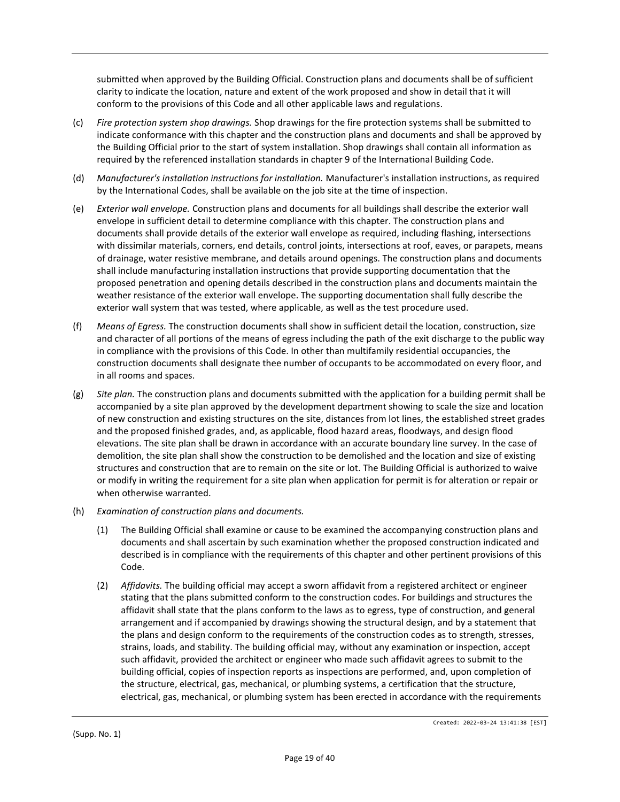submitted when approved by the Building Official. Construction plans and documents shall be of sufficient clarity to indicate the location, nature and extent of the work proposed and show in detail that it will conform to the provisions of this Code and all other applicable laws and regulations.

- (c) *Fire protection system shop drawings.* Shop drawings for the fire protection systems shall be submitted to indicate conformance with this chapter and the construction plans and documents and shall be approved by the Building Official prior to the start of system installation. Shop drawings shall contain all information as required by the referenced installation standards in chapter 9 of the International Building Code.
- (d) *Manufacturer's installation instructions for installation.* Manufacturer's installation instructions, as required by the International Codes, shall be available on the job site at the time of inspection.
- (e) *Exterior wall envelope.* Construction plans and documents for all buildings shall describe the exterior wall envelope in sufficient detail to determine compliance with this chapter. The construction plans and documents shall provide details of the exterior wall envelope as required, including flashing, intersections with dissimilar materials, corners, end details, control joints, intersections at roof, eaves, or parapets, means of drainage, water resistive membrane, and details around openings. The construction plans and documents shall include manufacturing installation instructions that provide supporting documentation that the proposed penetration and opening details described in the construction plans and documents maintain the weather resistance of the exterior wall envelope. The supporting documentation shall fully describe the exterior wall system that was tested, where applicable, as well as the test procedure used.
- (f) *Means of Egress.* The construction documents shall show in sufficient detail the location, construction, size and character of all portions of the means of egress including the path of the exit discharge to the public way in compliance with the provisions of this Code. In other than multifamily residential occupancies, the construction documents shall designate thee number of occupants to be accommodated on every floor, and in all rooms and spaces.
- (g) *Site plan.* The construction plans and documents submitted with the application for a building permit shall be accompanied by a site plan approved by the development department showing to scale the size and location of new construction and existing structures on the site, distances from lot lines, the established street grades and the proposed finished grades, and, as applicable, flood hazard areas, floodways, and design flood elevations. The site plan shall be drawn in accordance with an accurate boundary line survey. In the case of demolition, the site plan shall show the construction to be demolished and the location and size of existing structures and construction that are to remain on the site or lot. The Building Official is authorized to waive or modify in writing the requirement for a site plan when application for permit is for alteration or repair or when otherwise warranted.
- (h) *Examination of construction plans and documents.*
	- (1) The Building Official shall examine or cause to be examined the accompanying construction plans and documents and shall ascertain by such examination whether the proposed construction indicated and described is in compliance with the requirements of this chapter and other pertinent provisions of this Code.
	- (2) *Affidavits.* The building official may accept a sworn affidavit from a registered architect or engineer stating that the plans submitted conform to the construction codes. For buildings and structures the affidavit shall state that the plans conform to the laws as to egress, type of construction, and general arrangement and if accompanied by drawings showing the structural design, and by a statement that the plans and design conform to the requirements of the construction codes as to strength, stresses, strains, loads, and stability. The building official may, without any examination or inspection, accept such affidavit, provided the architect or engineer who made such affidavit agrees to submit to the building official, copies of inspection reports as inspections are performed, and, upon completion of the structure, electrical, gas, mechanical, or plumbing systems, a certification that the structure, electrical, gas, mechanical, or plumbing system has been erected in accordance with the requirements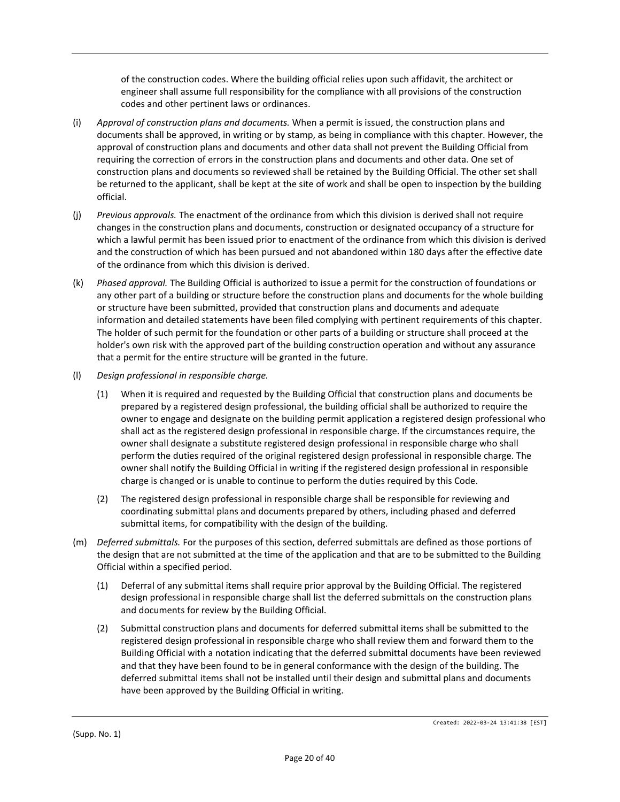of the construction codes. Where the building official relies upon such affidavit, the architect or engineer shall assume full responsibility for the compliance with all provisions of the construction codes and other pertinent laws or ordinances.

- (i) *Approval of construction plans and documents.* When a permit is issued, the construction plans and documents shall be approved, in writing or by stamp, as being in compliance with this chapter. However, the approval of construction plans and documents and other data shall not prevent the Building Official from requiring the correction of errors in the construction plans and documents and other data. One set of construction plans and documents so reviewed shall be retained by the Building Official. The other set shall be returned to the applicant, shall be kept at the site of work and shall be open to inspection by the building official.
- (j) *Previous approvals.* The enactment of the ordinance from which this division is derived shall not require changes in the construction plans and documents, construction or designated occupancy of a structure for which a lawful permit has been issued prior to enactment of the ordinance from which this division is derived and the construction of which has been pursued and not abandoned within 180 days after the effective date of the ordinance from which this division is derived.
- (k) *Phased approval.* The Building Official is authorized to issue a permit for the construction of foundations or any other part of a building or structure before the construction plans and documents for the whole building or structure have been submitted, provided that construction plans and documents and adequate information and detailed statements have been filed complying with pertinent requirements of this chapter. The holder of such permit for the foundation or other parts of a building or structure shall proceed at the holder's own risk with the approved part of the building construction operation and without any assurance that a permit for the entire structure will be granted in the future.
- (l) *Design professional in responsible charge.*
	- (1) When it is required and requested by the Building Official that construction plans and documents be prepared by a registered design professional, the building official shall be authorized to require the owner to engage and designate on the building permit application a registered design professional who shall act as the registered design professional in responsible charge. If the circumstances require, the owner shall designate a substitute registered design professional in responsible charge who shall perform the duties required of the original registered design professional in responsible charge. The owner shall notify the Building Official in writing if the registered design professional in responsible charge is changed or is unable to continue to perform the duties required by this Code.
	- (2) The registered design professional in responsible charge shall be responsible for reviewing and coordinating submittal plans and documents prepared by others, including phased and deferred submittal items, for compatibility with the design of the building.
- (m) *Deferred submittals.* For the purposes of this section, deferred submittals are defined as those portions of the design that are not submitted at the time of the application and that are to be submitted to the Building Official within a specified period.
	- (1) Deferral of any submittal items shall require prior approval by the Building Official. The registered design professional in responsible charge shall list the deferred submittals on the construction plans and documents for review by the Building Official.
	- (2) Submittal construction plans and documents for deferred submittal items shall be submitted to the registered design professional in responsible charge who shall review them and forward them to the Building Official with a notation indicating that the deferred submittal documents have been reviewed and that they have been found to be in general conformance with the design of the building. The deferred submittal items shall not be installed until their design and submittal plans and documents have been approved by the Building Official in writing.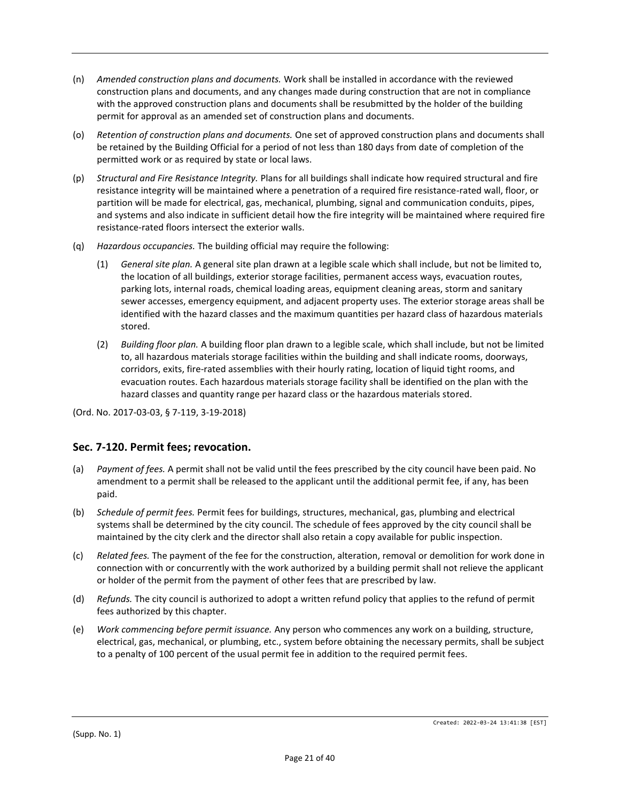- (n) *Amended construction plans and documents.* Work shall be installed in accordance with the reviewed construction plans and documents, and any changes made during construction that are not in compliance with the approved construction plans and documents shall be resubmitted by the holder of the building permit for approval as an amended set of construction plans and documents.
- (o) *Retention of construction plans and documents.* One set of approved construction plans and documents shall be retained by the Building Official for a period of not less than 180 days from date of completion of the permitted work or as required by state or local laws.
- (p) *Structural and Fire Resistance Integrity.* Plans for all buildings shall indicate how required structural and fire resistance integrity will be maintained where a penetration of a required fire resistance-rated wall, floor, or partition will be made for electrical, gas, mechanical, plumbing, signal and communication conduits, pipes, and systems and also indicate in sufficient detail how the fire integrity will be maintained where required fire resistance-rated floors intersect the exterior walls.
- (q) *Hazardous occupancies.* The building official may require the following:
	- (1) *General site plan.* A general site plan drawn at a legible scale which shall include, but not be limited to, the location of all buildings, exterior storage facilities, permanent access ways, evacuation routes, parking lots, internal roads, chemical loading areas, equipment cleaning areas, storm and sanitary sewer accesses, emergency equipment, and adjacent property uses. The exterior storage areas shall be identified with the hazard classes and the maximum quantities per hazard class of hazardous materials stored.
	- (2) *Building floor plan.* A building floor plan drawn to a legible scale, which shall include, but not be limited to, all hazardous materials storage facilities within the building and shall indicate rooms, doorways, corridors, exits, fire-rated assemblies with their hourly rating, location of liquid tight rooms, and evacuation routes. Each hazardous materials storage facility shall be identified on the plan with the hazard classes and quantity range per hazard class or the hazardous materials stored.

(Ord. No. 2017-03-03, § 7-119, 3-19-2018)

## **Sec. 7-120. Permit fees; revocation.**

- (a) *Payment of fees.* A permit shall not be valid until the fees prescribed by the city council have been paid. No amendment to a permit shall be released to the applicant until the additional permit fee, if any, has been paid.
- (b) *Schedule of permit fees.* Permit fees for buildings, structures, mechanical, gas, plumbing and electrical systems shall be determined by the city council. The schedule of fees approved by the city council shall be maintained by the city clerk and the director shall also retain a copy available for public inspection.
- (c) *Related fees.* The payment of the fee for the construction, alteration, removal or demolition for work done in connection with or concurrently with the work authorized by a building permit shall not relieve the applicant or holder of the permit from the payment of other fees that are prescribed by law.
- (d) *Refunds.* The city council is authorized to adopt a written refund policy that applies to the refund of permit fees authorized by this chapter.
- (e) *Work commencing before permit issuance.* Any person who commences any work on a building, structure, electrical, gas, mechanical, or plumbing, etc., system before obtaining the necessary permits, shall be subject to a penalty of 100 percent of the usual permit fee in addition to the required permit fees.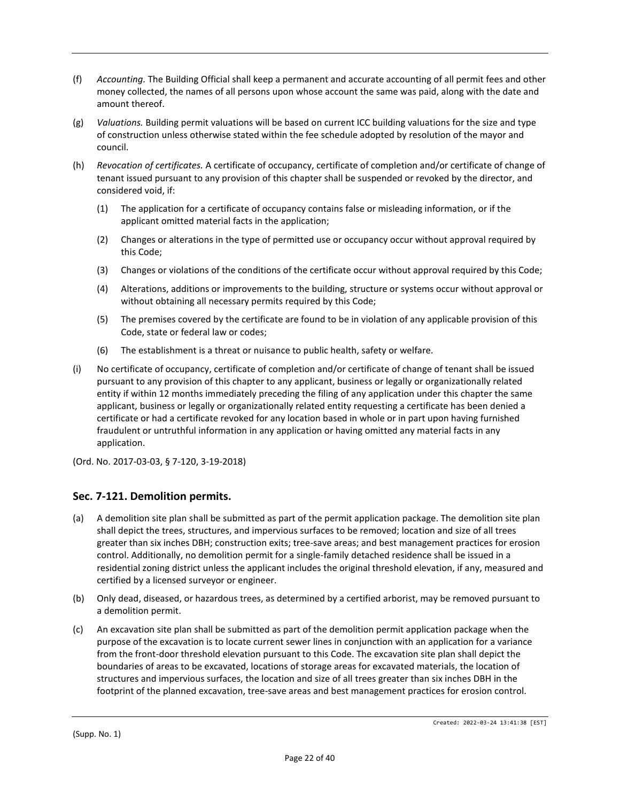- (f) *Accounting.* The Building Official shall keep a permanent and accurate accounting of all permit fees and other money collected, the names of all persons upon whose account the same was paid, along with the date and amount thereof.
- (g) *Valuations.* Building permit valuations will be based on current ICC building valuations for the size and type of construction unless otherwise stated within the fee schedule adopted by resolution of the mayor and council.
- (h) *Revocation of certificates.* A certificate of occupancy, certificate of completion and/or certificate of change of tenant issued pursuant to any provision of this chapter shall be suspended or revoked by the director, and considered void, if:
	- (1) The application for a certificate of occupancy contains false or misleading information, or if the applicant omitted material facts in the application;
	- (2) Changes or alterations in the type of permitted use or occupancy occur without approval required by this Code;
	- (3) Changes or violations of the conditions of the certificate occur without approval required by this Code;
	- (4) Alterations, additions or improvements to the building, structure or systems occur without approval or without obtaining all necessary permits required by this Code;
	- (5) The premises covered by the certificate are found to be in violation of any applicable provision of this Code, state or federal law or codes;
	- (6) The establishment is a threat or nuisance to public health, safety or welfare.
- (i) No certificate of occupancy, certificate of completion and/or certificate of change of tenant shall be issued pursuant to any provision of this chapter to any applicant, business or legally or organizationally related entity if within 12 months immediately preceding the filing of any application under this chapter the same applicant, business or legally or organizationally related entity requesting a certificate has been denied a certificate or had a certificate revoked for any location based in whole or in part upon having furnished fraudulent or untruthful information in any application or having omitted any material facts in any application.
- (Ord. No. 2017-03-03, § 7-120, 3-19-2018)

#### **Sec. 7-121. Demolition permits.**

- (a) A demolition site plan shall be submitted as part of the permit application package. The demolition site plan shall depict the trees, structures, and impervious surfaces to be removed; location and size of all trees greater than six inches DBH; construction exits; tree-save areas; and best management practices for erosion control. Additionally, no demolition permit for a single-family detached residence shall be issued in a residential zoning district unless the applicant includes the original threshold elevation, if any, measured and certified by a licensed surveyor or engineer.
- (b) Only dead, diseased, or hazardous trees, as determined by a certified arborist, may be removed pursuant to a demolition permit.
- (c) An excavation site plan shall be submitted as part of the demolition permit application package when the purpose of the excavation is to locate current sewer lines in conjunction with an application for a variance from the front-door threshold elevation pursuant to this Code. The excavation site plan shall depict the boundaries of areas to be excavated, locations of storage areas for excavated materials, the location of structures and impervious surfaces, the location and size of all trees greater than six inches DBH in the footprint of the planned excavation, tree-save areas and best management practices for erosion control.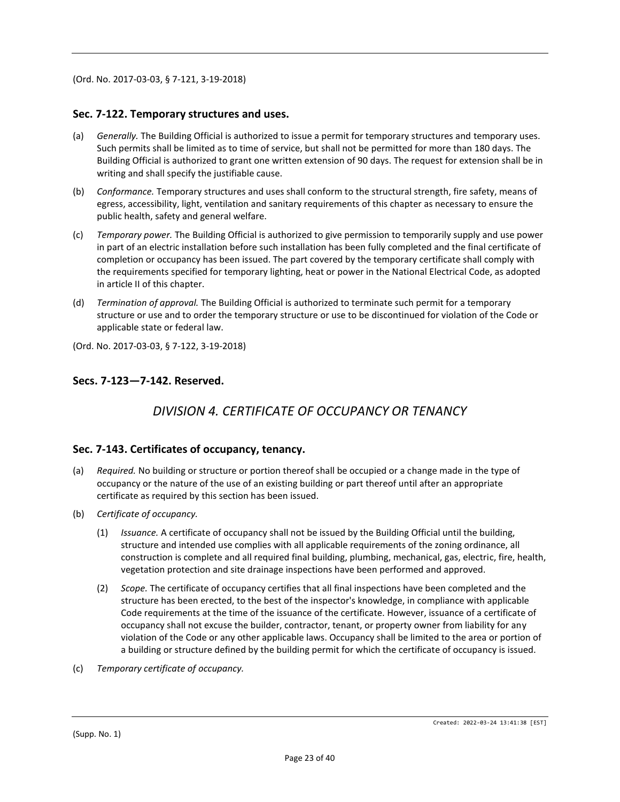(Ord. No. 2017-03-03, § 7-121, 3-19-2018)

#### **Sec. 7-122. Temporary structures and uses.**

- (a) *Generally.* The Building Official is authorized to issue a permit for temporary structures and temporary uses. Such permits shall be limited as to time of service, but shall not be permitted for more than 180 days. The Building Official is authorized to grant one written extension of 90 days. The request for extension shall be in writing and shall specify the justifiable cause.
- (b) *Conformance.* Temporary structures and uses shall conform to the structural strength, fire safety, means of egress, accessibility, light, ventilation and sanitary requirements of this chapter as necessary to ensure the public health, safety and general welfare.
- (c) *Temporary power.* The Building Official is authorized to give permission to temporarily supply and use power in part of an electric installation before such installation has been fully completed and the final certificate of completion or occupancy has been issued. The part covered by the temporary certificate shall comply with the requirements specified for temporary lighting, heat or power in the National Electrical Code, as adopted in article II of this chapter.
- (d) *Termination of approval.* The Building Official is authorized to terminate such permit for a temporary structure or use and to order the temporary structure or use to be discontinued for violation of the Code or applicable state or federal law.

(Ord. No. 2017-03-03, § 7-122, 3-19-2018)

#### **Secs. 7-123—7-142. Reserved.**

# *DIVISION 4. CERTIFICATE OF OCCUPANCY OR TENANCY*

#### **Sec. 7-143. Certificates of occupancy, tenancy.**

- (a) *Required.* No building or structure or portion thereof shall be occupied or a change made in the type of occupancy or the nature of the use of an existing building or part thereof until after an appropriate certificate as required by this section has been issued.
- (b) *Certificate of occupancy.*
	- (1) *Issuance.* A certificate of occupancy shall not be issued by the Building Official until the building, structure and intended use complies with all applicable requirements of the zoning ordinance, all construction is complete and all required final building, plumbing, mechanical, gas, electric, fire, health, vegetation protection and site drainage inspections have been performed and approved.
	- (2) *Scope.* The certificate of occupancy certifies that all final inspections have been completed and the structure has been erected, to the best of the inspector's knowledge, in compliance with applicable Code requirements at the time of the issuance of the certificate. However, issuance of a certificate of occupancy shall not excuse the builder, contractor, tenant, or property owner from liability for any violation of the Code or any other applicable laws. Occupancy shall be limited to the area or portion of a building or structure defined by the building permit for which the certificate of occupancy is issued.
- (c) *Temporary certificate of occupancy.*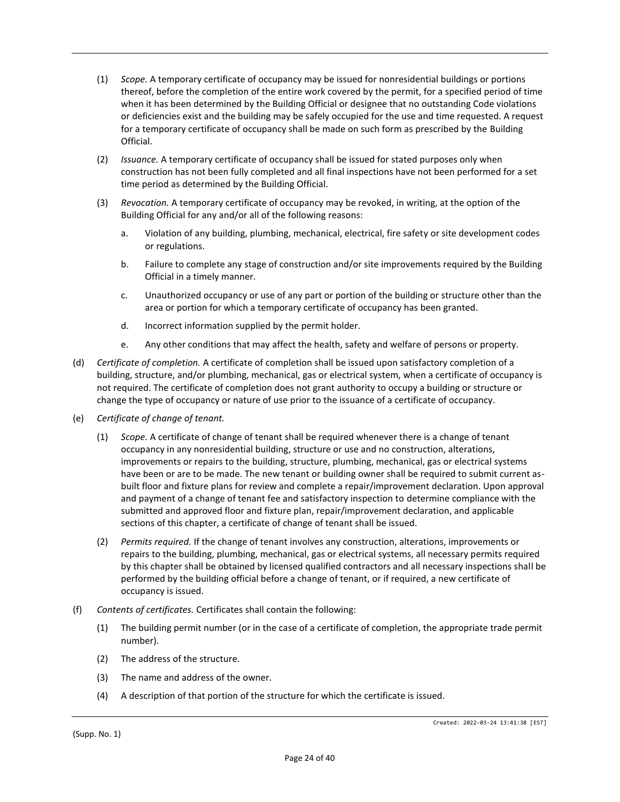- (1) *Scope.* A temporary certificate of occupancy may be issued for nonresidential buildings or portions thereof, before the completion of the entire work covered by the permit, for a specified period of time when it has been determined by the Building Official or designee that no outstanding Code violations or deficiencies exist and the building may be safely occupied for the use and time requested. A request for a temporary certificate of occupancy shall be made on such form as prescribed by the Building Official.
- (2) *Issuance.* A temporary certificate of occupancy shall be issued for stated purposes only when construction has not been fully completed and all final inspections have not been performed for a set time period as determined by the Building Official.
- (3) *Revocation.* A temporary certificate of occupancy may be revoked, in writing, at the option of the Building Official for any and/or all of the following reasons:
	- a. Violation of any building, plumbing, mechanical, electrical, fire safety or site development codes or regulations.
	- b. Failure to complete any stage of construction and/or site improvements required by the Building Official in a timely manner.
	- c. Unauthorized occupancy or use of any part or portion of the building or structure other than the area or portion for which a temporary certificate of occupancy has been granted.
	- d. Incorrect information supplied by the permit holder.
	- e. Any other conditions that may affect the health, safety and welfare of persons or property.
- (d) *Certificate of completion.* A certificate of completion shall be issued upon satisfactory completion of a building, structure, and/or plumbing, mechanical, gas or electrical system, when a certificate of occupancy is not required. The certificate of completion does not grant authority to occupy a building or structure or change the type of occupancy or nature of use prior to the issuance of a certificate of occupancy.
- (e) *Certificate of change of tenant.*
	- (1) *Scope.* A certificate of change of tenant shall be required whenever there is a change of tenant occupancy in any nonresidential building, structure or use and no construction, alterations, improvements or repairs to the building, structure, plumbing, mechanical, gas or electrical systems have been or are to be made. The new tenant or building owner shall be required to submit current asbuilt floor and fixture plans for review and complete a repair/improvement declaration. Upon approval and payment of a change of tenant fee and satisfactory inspection to determine compliance with the submitted and approved floor and fixture plan, repair/improvement declaration, and applicable sections of this chapter, a certificate of change of tenant shall be issued.
	- (2) *Permits required.* If the change of tenant involves any construction, alterations, improvements or repairs to the building, plumbing, mechanical, gas or electrical systems, all necessary permits required by this chapter shall be obtained by licensed qualified contractors and all necessary inspections shall be performed by the building official before a change of tenant, or if required, a new certificate of occupancy is issued.
- (f) *Contents of certificates.* Certificates shall contain the following:
	- (1) The building permit number (or in the case of a certificate of completion, the appropriate trade permit number).
	- (2) The address of the structure.
	- (3) The name and address of the owner.
	- (4) A description of that portion of the structure for which the certificate is issued.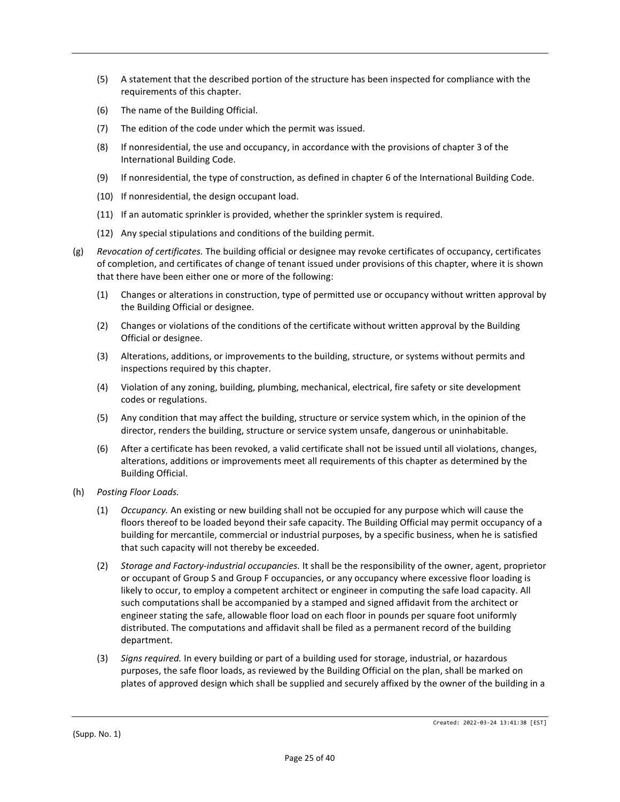- (5) A statement that the described portion of the structure has been inspected for compliance with the requirements of this chapter.
- (6) The name of the Building Official.
- (7) The edition of the code under which the permit was issued.
- (8) If nonresidential, the use and occupancy, in accordance with the provisions of chapter 3 of the International Building Code.
- (9) If nonresidential, the type of construction, as defined in chapter 6 of the International Building Code.
- (10) If nonresidential, the design occupant load.
- (11) If an automatic sprinkler is provided, whether the sprinkler system is required.
- (12) Any special stipulations and conditions of the building permit.
- (g) *Revocation of certificates.* The building official or designee may revoke certificates of occupancy, certificates of completion, and certificates of change of tenant issued under provisions of this chapter, where it is shown that there have been either one or more of the following:
	- (1) Changes or alterations in construction, type of permitted use or occupancy without written approval by the Building Official or designee.
	- (2) Changes or violations of the conditions of the certificate without written approval by the Building Official or designee.
	- (3) Alterations, additions, or improvements to the building, structure, or systems without permits and inspections required by this chapter.
	- (4) Violation of any zoning, building, plumbing, mechanical, electrical, fire safety or site development codes or regulations.
	- (5) Any condition that may affect the building, structure or service system which, in the opinion of the director, renders the building, structure or service system unsafe, dangerous or uninhabitable.
	- (6) After a certificate has been revoked, a valid certificate shall not be issued until all violations, changes, alterations, additions or improvements meet all requirements of this chapter as determined by the Building Official.
- (h) *Posting Floor Loads.*
	- (1) *Occupancy.* An existing or new building shall not be occupied for any purpose which will cause the floors thereof to be loaded beyond their safe capacity. The Building Official may permit occupancy of a building for mercantile, commercial or industrial purposes, by a specific business, when he is satisfied that such capacity will not thereby be exceeded.
	- (2) *Storage and Factory-industrial occupancies.* It shall be the responsibility of the owner, agent, proprietor or occupant of Group S and Group F occupancies, or any occupancy where excessive floor loading is likely to occur, to employ a competent architect or engineer in computing the safe load capacity. All such computations shall be accompanied by a stamped and signed affidavit from the architect or engineer stating the safe, allowable floor load on each floor in pounds per square foot uniformly distributed. The computations and affidavit shall be filed as a permanent record of the building department.
	- (3) *Signs required.* In every building or part of a building used for storage, industrial, or hazardous purposes, the safe floor loads, as reviewed by the Building Official on the plan, shall be marked on plates of approved design which shall be supplied and securely affixed by the owner of the building in a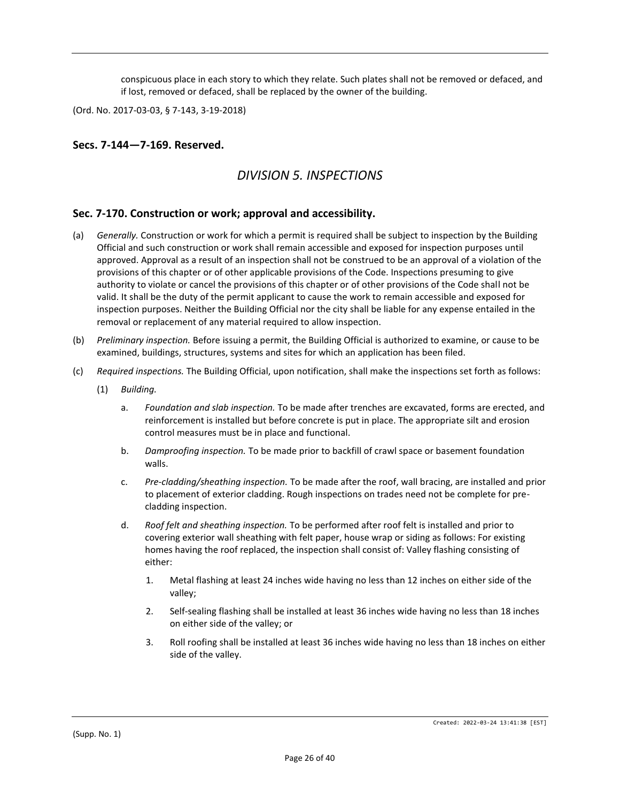conspicuous place in each story to which they relate. Such plates shall not be removed or defaced, and if lost, removed or defaced, shall be replaced by the owner of the building.

(Ord. No. 2017-03-03, § 7-143, 3-19-2018)

#### **Secs. 7-144—7-169. Reserved.**

## *DIVISION 5. INSPECTIONS*

#### **Sec. 7-170. Construction or work; approval and accessibility.**

- (a) *Generally.* Construction or work for which a permit is required shall be subject to inspection by the Building Official and such construction or work shall remain accessible and exposed for inspection purposes until approved. Approval as a result of an inspection shall not be construed to be an approval of a violation of the provisions of this chapter or of other applicable provisions of the Code. Inspections presuming to give authority to violate or cancel the provisions of this chapter or of other provisions of the Code shall not be valid. It shall be the duty of the permit applicant to cause the work to remain accessible and exposed for inspection purposes. Neither the Building Official nor the city shall be liable for any expense entailed in the removal or replacement of any material required to allow inspection.
- (b) *Preliminary inspection.* Before issuing a permit, the Building Official is authorized to examine, or cause to be examined, buildings, structures, systems and sites for which an application has been filed.
- (c) *Required inspections.* The Building Official, upon notification, shall make the inspections set forth as follows:
	- (1) *Building.*
		- a. *Foundation and slab inspection.* To be made after trenches are excavated, forms are erected, and reinforcement is installed but before concrete is put in place. The appropriate silt and erosion control measures must be in place and functional.
		- b. *Damproofing inspection.* To be made prior to backfill of crawl space or basement foundation walls.
		- c. *Pre-cladding/sheathing inspection.* To be made after the roof, wall bracing, are installed and prior to placement of exterior cladding. Rough inspections on trades need not be complete for precladding inspection.
		- d. *Roof felt and sheathing inspection.* To be performed after roof felt is installed and prior to covering exterior wall sheathing with felt paper, house wrap or siding as follows: For existing homes having the roof replaced, the inspection shall consist of: Valley flashing consisting of either:
			- 1. Metal flashing at least 24 inches wide having no less than 12 inches on either side of the valley;
			- 2. Self-sealing flashing shall be installed at least 36 inches wide having no less than 18 inches on either side of the valley; or
			- 3. Roll roofing shall be installed at least 36 inches wide having no less than 18 inches on either side of the valley.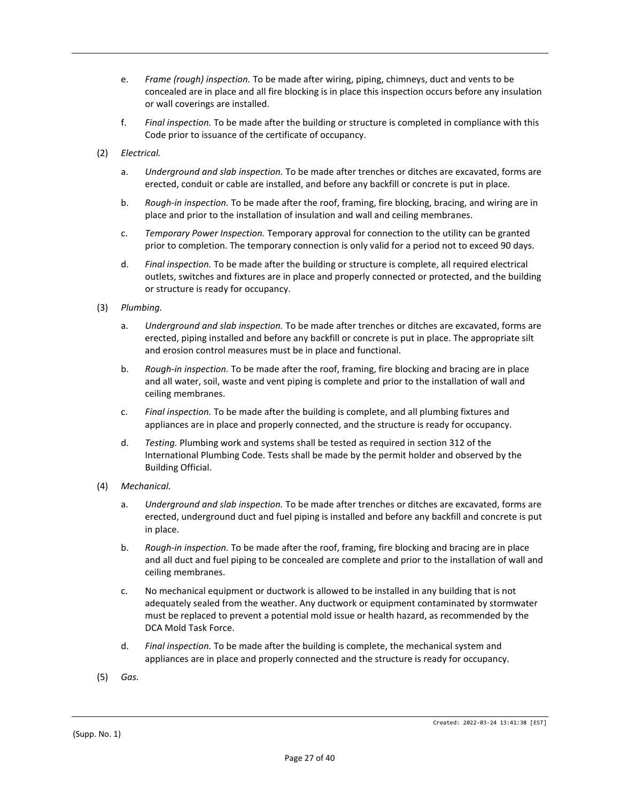- e. *Frame (rough) inspection.* To be made after wiring, piping, chimneys, duct and vents to be concealed are in place and all fire blocking is in place this inspection occurs before any insulation or wall coverings are installed.
- f. *Final inspection.* To be made after the building or structure is completed in compliance with this Code prior to issuance of the certificate of occupancy.
- (2) *Electrical.*
	- a. *Underground and slab inspection.* To be made after trenches or ditches are excavated, forms are erected, conduit or cable are installed, and before any backfill or concrete is put in place.
	- b. *Rough-in inspection.* To be made after the roof, framing, fire blocking, bracing, and wiring are in place and prior to the installation of insulation and wall and ceiling membranes.
	- c. *Temporary Power Inspection.* Temporary approval for connection to the utility can be granted prior to completion. The temporary connection is only valid for a period not to exceed 90 days.
	- d. *Final inspection.* To be made after the building or structure is complete, all required electrical outlets, switches and fixtures are in place and properly connected or protected, and the building or structure is ready for occupancy.
- (3) *Plumbing.*
	- a. *Underground and slab inspection.* To be made after trenches or ditches are excavated, forms are erected, piping installed and before any backfill or concrete is put in place. The appropriate silt and erosion control measures must be in place and functional.
	- b. *Rough-in inspection.* To be made after the roof, framing, fire blocking and bracing are in place and all water, soil, waste and vent piping is complete and prior to the installation of wall and ceiling membranes.
	- c. *Final inspection.* To be made after the building is complete, and all plumbing fixtures and appliances are in place and properly connected, and the structure is ready for occupancy.
	- d. *Testing.* Plumbing work and systems shall be tested as required in section 312 of the International Plumbing Code. Tests shall be made by the permit holder and observed by the Building Official.
- (4) *Mechanical.*
	- a. *Underground and slab inspection.* To be made after trenches or ditches are excavated, forms are erected, underground duct and fuel piping is installed and before any backfill and concrete is put in place.
	- b. *Rough-in inspection.* To be made after the roof, framing, fire blocking and bracing are in place and all duct and fuel piping to be concealed are complete and prior to the installation of wall and ceiling membranes.
	- c. No mechanical equipment or ductwork is allowed to be installed in any building that is not adequately sealed from the weather. Any ductwork or equipment contaminated by stormwater must be replaced to prevent a potential mold issue or health hazard, as recommended by the DCA Mold Task Force.
	- d. *Final inspection.* To be made after the building is complete, the mechanical system and appliances are in place and properly connected and the structure is ready for occupancy.
- (5) *Gas.*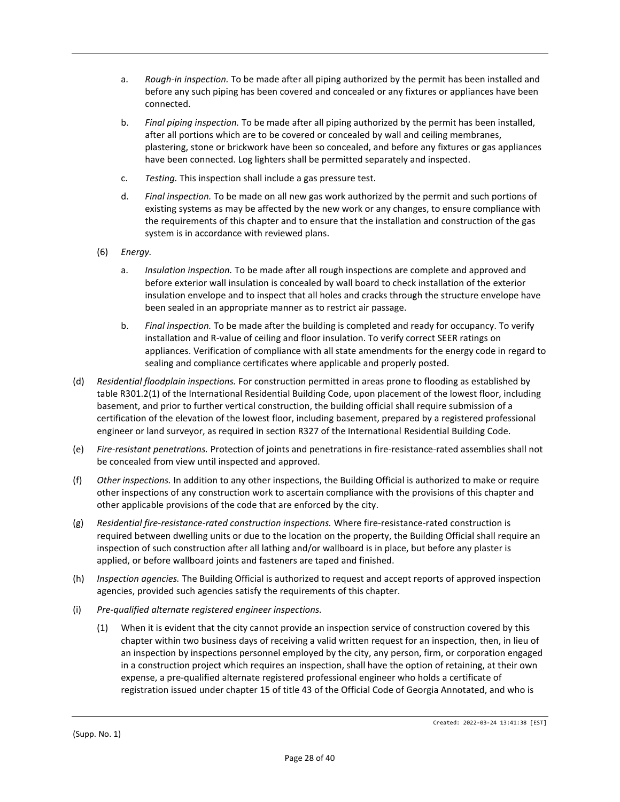- a. *Rough-in inspection.* To be made after all piping authorized by the permit has been installed and before any such piping has been covered and concealed or any fixtures or appliances have been connected.
- b. *Final piping inspection.* To be made after all piping authorized by the permit has been installed, after all portions which are to be covered or concealed by wall and ceiling membranes, plastering, stone or brickwork have been so concealed, and before any fixtures or gas appliances have been connected. Log lighters shall be permitted separately and inspected.
- c. *Testing.* This inspection shall include a gas pressure test.
- d. *Final inspection.* To be made on all new gas work authorized by the permit and such portions of existing systems as may be affected by the new work or any changes, to ensure compliance with the requirements of this chapter and to ensure that the installation and construction of the gas system is in accordance with reviewed plans.
- (6) *Energy.*
	- a. *Insulation inspection.* To be made after all rough inspections are complete and approved and before exterior wall insulation is concealed by wall board to check installation of the exterior insulation envelope and to inspect that all holes and cracks through the structure envelope have been sealed in an appropriate manner as to restrict air passage.
	- b. *Final inspection.* To be made after the building is completed and ready for occupancy. To verify installation and R-value of ceiling and floor insulation. To verify correct SEER ratings on appliances. Verification of compliance with all state amendments for the energy code in regard to sealing and compliance certificates where applicable and properly posted.
- (d) *Residential floodplain inspections.* For construction permitted in areas prone to flooding as established by table R301.2(1) of the International Residential Building Code, upon placement of the lowest floor, including basement, and prior to further vertical construction, the building official shall require submission of a certification of the elevation of the lowest floor, including basement, prepared by a registered professional engineer or land surveyor, as required in section R327 of the International Residential Building Code.
- (e) *Fire-resistant penetrations.* Protection of joints and penetrations in fire-resistance-rated assemblies shall not be concealed from view until inspected and approved.
- (f) *Other inspections.* In addition to any other inspections, the Building Official is authorized to make or require other inspections of any construction work to ascertain compliance with the provisions of this chapter and other applicable provisions of the code that are enforced by the city.
- (g) *Residential fire-resistance-rated construction inspections.* Where fire-resistance-rated construction is required between dwelling units or due to the location on the property, the Building Official shall require an inspection of such construction after all lathing and/or wallboard is in place, but before any plaster is applied, or before wallboard joints and fasteners are taped and finished.
- (h) *Inspection agencies.* The Building Official is authorized to request and accept reports of approved inspection agencies, provided such agencies satisfy the requirements of this chapter.
- (i) *Pre-qualified alternate registered engineer inspections.*
	- (1) When it is evident that the city cannot provide an inspection service of construction covered by this chapter within two business days of receiving a valid written request for an inspection, then, in lieu of an inspection by inspections personnel employed by the city, any person, firm, or corporation engaged in a construction project which requires an inspection, shall have the option of retaining, at their own expense, a pre-qualified alternate registered professional engineer who holds a certificate of registration issued under chapter 15 of title 43 of the Official Code of Georgia Annotated, and who is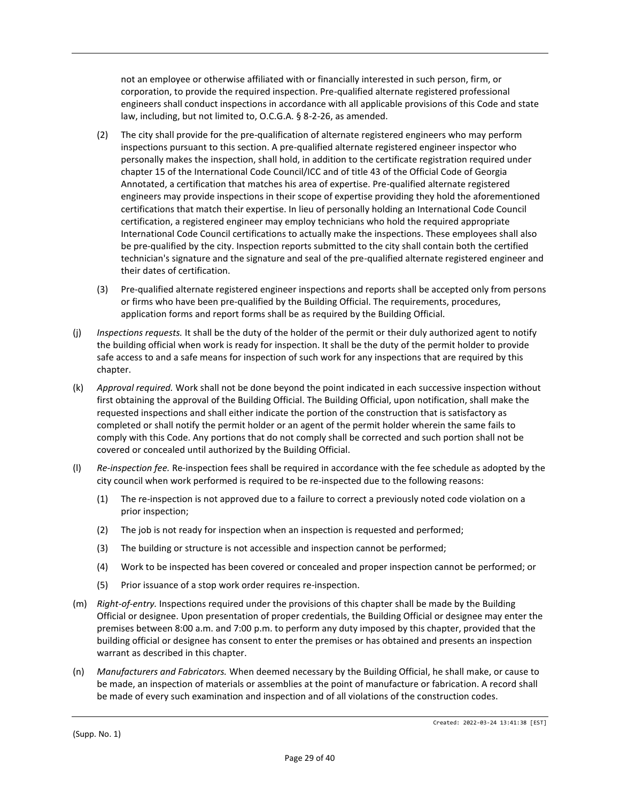not an employee or otherwise affiliated with or financially interested in such person, firm, or corporation, to provide the required inspection. Pre-qualified alternate registered professional engineers shall conduct inspections in accordance with all applicable provisions of this Code and state law, including, but not limited to, O.C.G.A. § 8-2-26, as amended.

- (2) The city shall provide for the pre-qualification of alternate registered engineers who may perform inspections pursuant to this section. A pre-qualified alternate registered engineer inspector who personally makes the inspection, shall hold, in addition to the certificate registration required under chapter 15 of the International Code Council/ICC and of title 43 of the Official Code of Georgia Annotated, a certification that matches his area of expertise. Pre-qualified alternate registered engineers may provide inspections in their scope of expertise providing they hold the aforementioned certifications that match their expertise. In lieu of personally holding an International Code Council certification, a registered engineer may employ technicians who hold the required appropriate International Code Council certifications to actually make the inspections. These employees shall also be pre-qualified by the city. Inspection reports submitted to the city shall contain both the certified technician's signature and the signature and seal of the pre-qualified alternate registered engineer and their dates of certification.
- (3) Pre-qualified alternate registered engineer inspections and reports shall be accepted only from persons or firms who have been pre-qualified by the Building Official. The requirements, procedures, application forms and report forms shall be as required by the Building Official.
- (j) *Inspections requests.* It shall be the duty of the holder of the permit or their duly authorized agent to notify the building official when work is ready for inspection. It shall be the duty of the permit holder to provide safe access to and a safe means for inspection of such work for any inspections that are required by this chapter.
- (k) *Approval required.* Work shall not be done beyond the point indicated in each successive inspection without first obtaining the approval of the Building Official. The Building Official, upon notification, shall make the requested inspections and shall either indicate the portion of the construction that is satisfactory as completed or shall notify the permit holder or an agent of the permit holder wherein the same fails to comply with this Code. Any portions that do not comply shall be corrected and such portion shall not be covered or concealed until authorized by the Building Official.
- (l) *Re-inspection fee.* Re-inspection fees shall be required in accordance with the fee schedule as adopted by the city council when work performed is required to be re-inspected due to the following reasons:
	- (1) The re-inspection is not approved due to a failure to correct a previously noted code violation on a prior inspection;
	- (2) The job is not ready for inspection when an inspection is requested and performed;
	- (3) The building or structure is not accessible and inspection cannot be performed;
	- (4) Work to be inspected has been covered or concealed and proper inspection cannot be performed; or
	- (5) Prior issuance of a stop work order requires re-inspection.
- (m) *Right-of-entry.* Inspections required under the provisions of this chapter shall be made by the Building Official or designee. Upon presentation of proper credentials, the Building Official or designee may enter the premises between 8:00 a.m. and 7:00 p.m. to perform any duty imposed by this chapter, provided that the building official or designee has consent to enter the premises or has obtained and presents an inspection warrant as described in this chapter.
- (n) *Manufacturers and Fabricators.* When deemed necessary by the Building Official, he shall make, or cause to be made, an inspection of materials or assemblies at the point of manufacture or fabrication. A record shall be made of every such examination and inspection and of all violations of the construction codes.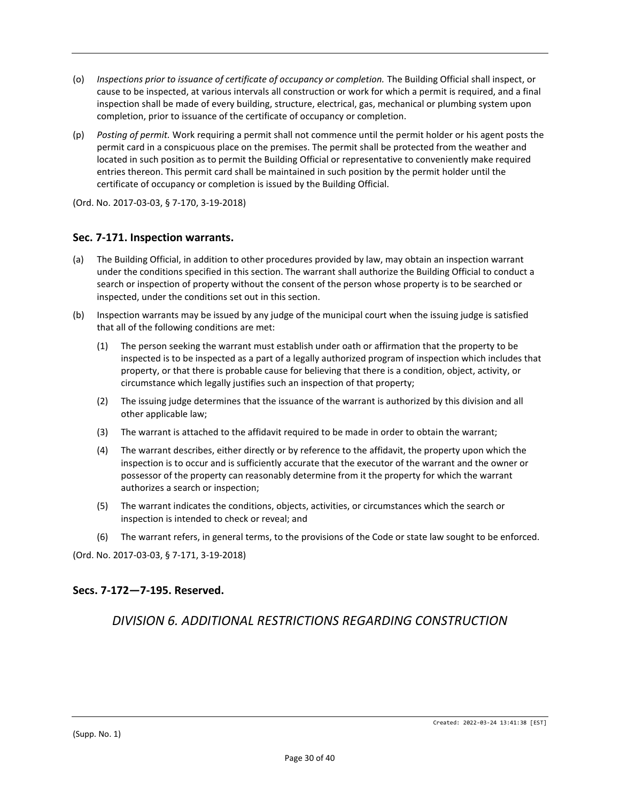- (o) *Inspections prior to issuance of certificate of occupancy or completion.* The Building Official shall inspect, or cause to be inspected, at various intervals all construction or work for which a permit is required, and a final inspection shall be made of every building, structure, electrical, gas, mechanical or plumbing system upon completion, prior to issuance of the certificate of occupancy or completion.
- (p) *Posting of permit.* Work requiring a permit shall not commence until the permit holder or his agent posts the permit card in a conspicuous place on the premises. The permit shall be protected from the weather and located in such position as to permit the Building Official or representative to conveniently make required entries thereon. This permit card shall be maintained in such position by the permit holder until the certificate of occupancy or completion is issued by the Building Official.
- (Ord. No. 2017-03-03, § 7-170, 3-19-2018)

#### **Sec. 7-171. Inspection warrants.**

- (a) The Building Official, in addition to other procedures provided by law, may obtain an inspection warrant under the conditions specified in this section. The warrant shall authorize the Building Official to conduct a search or inspection of property without the consent of the person whose property is to be searched or inspected, under the conditions set out in this section.
- (b) Inspection warrants may be issued by any judge of the municipal court when the issuing judge is satisfied that all of the following conditions are met:
	- (1) The person seeking the warrant must establish under oath or affirmation that the property to be inspected is to be inspected as a part of a legally authorized program of inspection which includes that property, or that there is probable cause for believing that there is a condition, object, activity, or circumstance which legally justifies such an inspection of that property;
	- (2) The issuing judge determines that the issuance of the warrant is authorized by this division and all other applicable law;
	- (3) The warrant is attached to the affidavit required to be made in order to obtain the warrant;
	- (4) The warrant describes, either directly or by reference to the affidavit, the property upon which the inspection is to occur and is sufficiently accurate that the executor of the warrant and the owner or possessor of the property can reasonably determine from it the property for which the warrant authorizes a search or inspection;
	- (5) The warrant indicates the conditions, objects, activities, or circumstances which the search or inspection is intended to check or reveal; and
	- (6) The warrant refers, in general terms, to the provisions of the Code or state law sought to be enforced.

(Ord. No. 2017-03-03, § 7-171, 3-19-2018)

#### **Secs. 7-172—7-195. Reserved.**

## *DIVISION 6. ADDITIONAL RESTRICTIONS REGARDING CONSTRUCTION*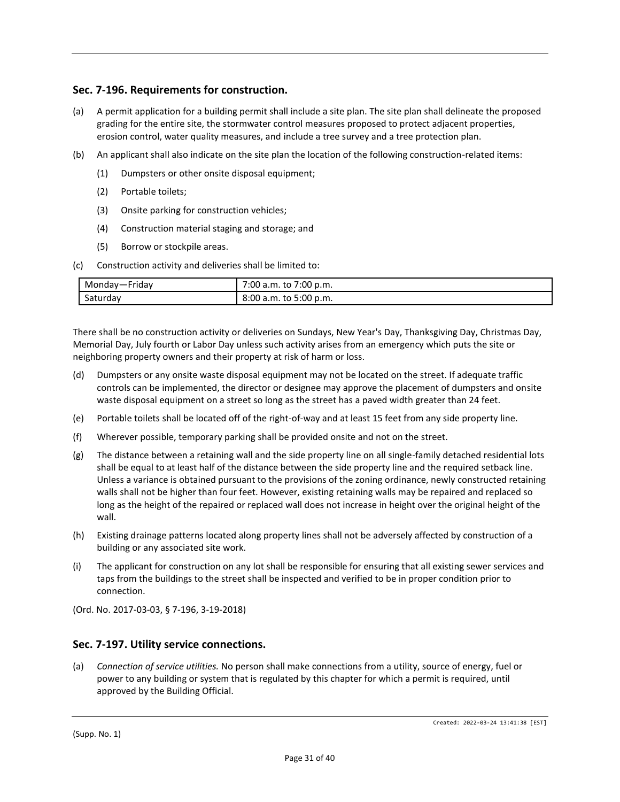## **Sec. 7-196. Requirements for construction.**

- (a) A permit application for a building permit shall include a site plan. The site plan shall delineate the proposed grading for the entire site, the stormwater control measures proposed to protect adjacent properties, erosion control, water quality measures, and include a tree survey and a tree protection plan.
- (b) An applicant shall also indicate on the site plan the location of the following construction-related items:
	- (1) Dumpsters or other onsite disposal equipment;
	- (2) Portable toilets;
	- (3) Onsite parking for construction vehicles;
	- (4) Construction material staging and storage; and
	- (5) Borrow or stockpile areas.
- (c) Construction activity and deliveries shall be limited to:

| Monday—Friday | 7:00 a.m. to 7:00 p.m. |
|---------------|------------------------|
| Saturday      | 8:00 a.m. to 5:00 p.m. |

There shall be no construction activity or deliveries on Sundays, New Year's Day, Thanksgiving Day, Christmas Day, Memorial Day, July fourth or Labor Day unless such activity arises from an emergency which puts the site or neighboring property owners and their property at risk of harm or loss.

- (d) Dumpsters or any onsite waste disposal equipment may not be located on the street. If adequate traffic controls can be implemented, the director or designee may approve the placement of dumpsters and onsite waste disposal equipment on a street so long as the street has a paved width greater than 24 feet.
- (e) Portable toilets shall be located off of the right-of-way and at least 15 feet from any side property line.
- (f) Wherever possible, temporary parking shall be provided onsite and not on the street.
- (g) The distance between a retaining wall and the side property line on all single-family detached residential lots shall be equal to at least half of the distance between the side property line and the required setback line. Unless a variance is obtained pursuant to the provisions of the zoning ordinance, newly constructed retaining walls shall not be higher than four feet. However, existing retaining walls may be repaired and replaced so long as the height of the repaired or replaced wall does not increase in height over the original height of the wall.
- (h) Existing drainage patterns located along property lines shall not be adversely affected by construction of a building or any associated site work.
- (i) The applicant for construction on any lot shall be responsible for ensuring that all existing sewer services and taps from the buildings to the street shall be inspected and verified to be in proper condition prior to connection.

(Ord. No. 2017-03-03, § 7-196, 3-19-2018)

#### **Sec. 7-197. Utility service connections.**

(a) *Connection of service utilities.* No person shall make connections from a utility, source of energy, fuel or power to any building or system that is regulated by this chapter for which a permit is required, until approved by the Building Official.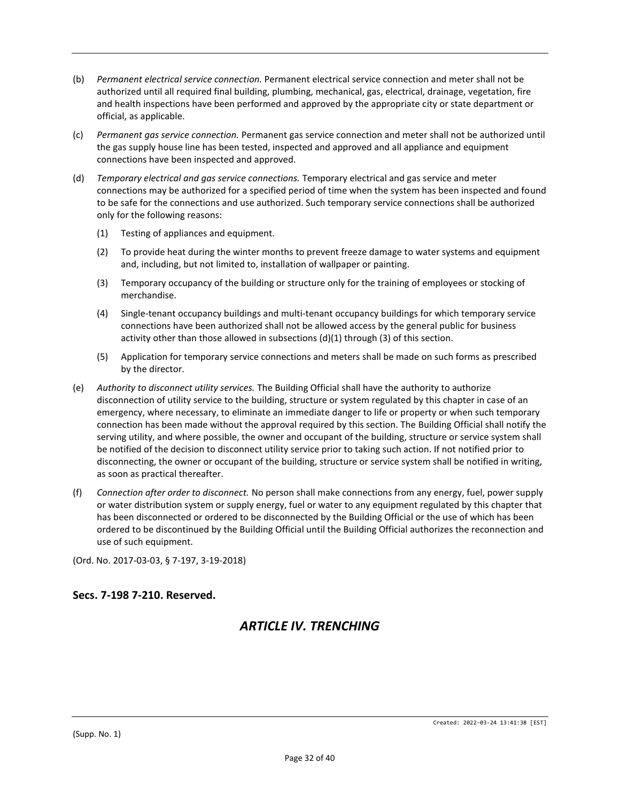- (b) *Permanent electrical service connection.* Permanent electrical service connection and meter shall not be authorized until all required final building, plumbing, mechanical, gas, electrical, drainage, vegetation, fire and health inspections have been performed and approved by the appropriate city or state department or official, as applicable.
- (c) *Permanent gas service connection.* Permanent gas service connection and meter shall not be authorized until the gas supply house line has been tested, inspected and approved and all appliance and equipment connections have been inspected and approved.
- (d) *Temporary electrical and gas service connections.* Temporary electrical and gas service and meter connections may be authorized for a specified period of time when the system has been inspected and found to be safe for the connections and use authorized. Such temporary service connections shall be authorized only for the following reasons:
	- (1) Testing of appliances and equipment.
	- (2) To provide heat during the winter months to prevent freeze damage to water systems and equipment and, including, but not limited to, installation of wallpaper or painting.
	- (3) Temporary occupancy of the building or structure only for the training of employees or stocking of merchandise.
	- (4) Single-tenant occupancy buildings and multi-tenant occupancy buildings for which temporary service connections have been authorized shall not be allowed access by the general public for business activity other than those allowed in subsections (d)(1) through (3) of this section.
	- (5) Application for temporary service connections and meters shall be made on such forms as prescribed by the director.
- (e) *Authority to disconnect utility services.* The Building Official shall have the authority to authorize disconnection of utility service to the building, structure or system regulated by this chapter in case of an emergency, where necessary, to eliminate an immediate danger to life or property or when such temporary connection has been made without the approval required by this section. The Building Official shall notify the serving utility, and where possible, the owner and occupant of the building, structure or service system shall be notified of the decision to disconnect utility service prior to taking such action. If not notified prior to disconnecting, the owner or occupant of the building, structure or service system shall be notified in writing, as soon as practical thereafter.
- (f) *Connection after order to disconnect.* No person shall make connections from any energy, fuel, power supply or water distribution system or supply energy, fuel or water to any equipment regulated by this chapter that has been disconnected or ordered to be disconnected by the Building Official or the use of which has been ordered to be discontinued by the Building Official until the Building Official authorizes the reconnection and use of such equipment.

(Ord. No. 2017-03-03, § 7-197, 3-19-2018)

## **Secs. 7-198 7-210. Reserved.**

# *ARTICLE IV. TRENCHING*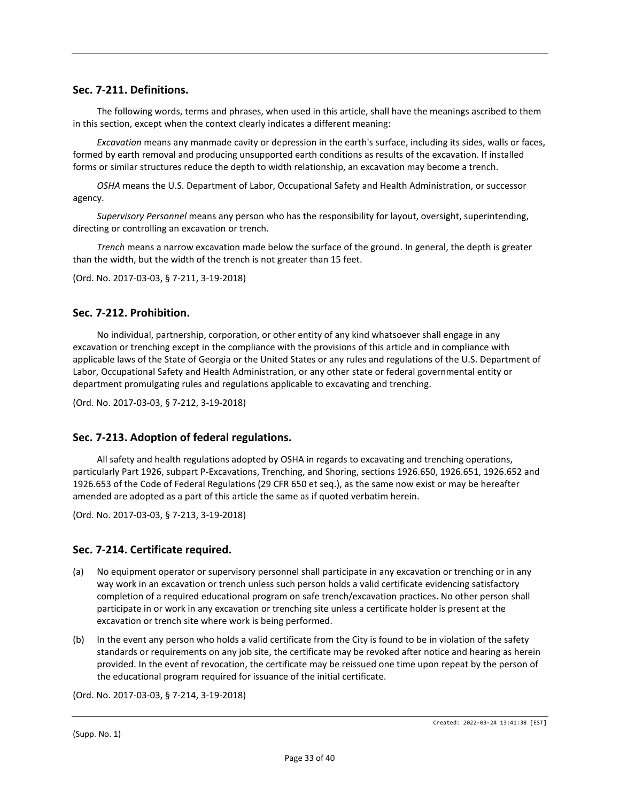#### **Sec. 7-211. Definitions.**

The following words, terms and phrases, when used in this article, shall have the meanings ascribed to them in this section, except when the context clearly indicates a different meaning:

*Excavation* means any manmade cavity or depression in the earth's surface, including its sides, walls or faces, formed by earth removal and producing unsupported earth conditions as results of the excavation. If installed forms or similar structures reduce the depth to width relationship, an excavation may become a trench.

*OSHA* means the U.S. Department of Labor, Occupational Safety and Health Administration, or successor agency.

*Supervisory Personnel* means any person who has the responsibility for layout, oversight, superintending, directing or controlling an excavation or trench.

*Trench* means a narrow excavation made below the surface of the ground. In general, the depth is greater than the width, but the width of the trench is not greater than 15 feet.

(Ord. No. 2017-03-03, § 7-211, 3-19-2018)

#### **Sec. 7-212. Prohibition.**

No individual, partnership, corporation, or other entity of any kind whatsoever shall engage in any excavation or trenching except in the compliance with the provisions of this article and in compliance with applicable laws of the State of Georgia or the United States or any rules and regulations of the U.S. Department of Labor, Occupational Safety and Health Administration, or any other state or federal governmental entity or department promulgating rules and regulations applicable to excavating and trenching.

(Ord. No. 2017-03-03, § 7-212, 3-19-2018)

#### **Sec. 7-213. Adoption of federal regulations.**

All safety and health regulations adopted by OSHA in regards to excavating and trenching operations, particularly Part 1926, subpart P-Excavations, Trenching, and Shoring, sections 1926.650, 1926.651, 1926.652 and 1926.653 of the Code of Federal Regulations (29 CFR 650 et seq.), as the same now exist or may be hereafter amended are adopted as a part of this article the same as if quoted verbatim herein.

(Ord. No. 2017-03-03, § 7-213, 3-19-2018)

#### **Sec. 7-214. Certificate required.**

- (a) No equipment operator or supervisory personnel shall participate in any excavation or trenching or in any way work in an excavation or trench unless such person holds a valid certificate evidencing satisfactory completion of a required educational program on safe trench/excavation practices. No other person shall participate in or work in any excavation or trenching site unless a certificate holder is present at the excavation or trench site where work is being performed.
- (b) In the event any person who holds a valid certificate from the City is found to be in violation of the safety standards or requirements on any job site, the certificate may be revoked after notice and hearing as herein provided. In the event of revocation, the certificate may be reissued one time upon repeat by the person of the educational program required for issuance of the initial certificate.

(Ord. No. 2017-03-03, § 7-214, 3-19-2018)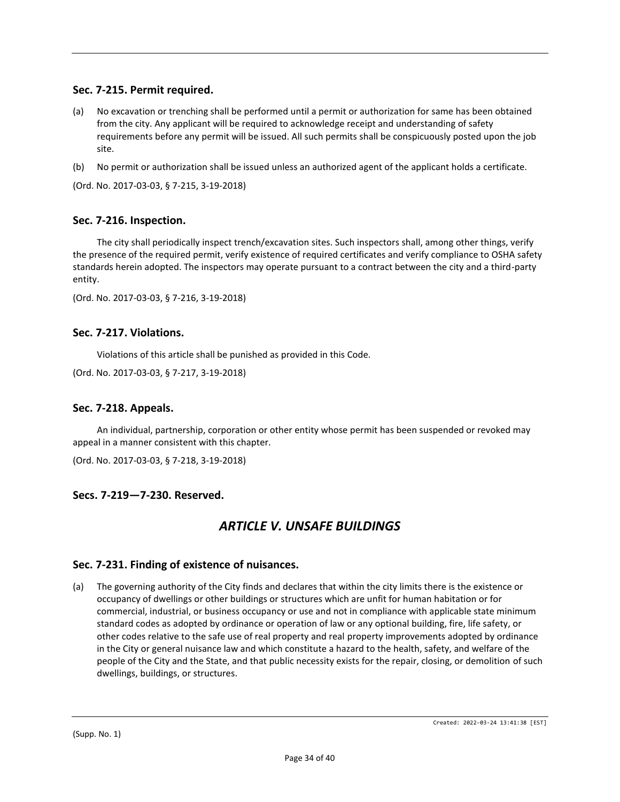## **Sec. 7-215. Permit required.**

- (a) No excavation or trenching shall be performed until a permit or authorization for same has been obtained from the city. Any applicant will be required to acknowledge receipt and understanding of safety requirements before any permit will be issued. All such permits shall be conspicuously posted upon the job site.
- (b) No permit or authorization shall be issued unless an authorized agent of the applicant holds a certificate.

(Ord. No. 2017-03-03, § 7-215, 3-19-2018)

### **Sec. 7-216. Inspection.**

The city shall periodically inspect trench/excavation sites. Such inspectors shall, among other things, verify the presence of the required permit, verify existence of required certificates and verify compliance to OSHA safety standards herein adopted. The inspectors may operate pursuant to a contract between the city and a third-party entity.

(Ord. No. 2017-03-03, § 7-216, 3-19-2018)

#### **Sec. 7-217. Violations.**

Violations of this article shall be punished as provided in this Code.

(Ord. No. 2017-03-03, § 7-217, 3-19-2018)

#### **Sec. 7-218. Appeals.**

An individual, partnership, corporation or other entity whose permit has been suspended or revoked may appeal in a manner consistent with this chapter.

(Ord. No. 2017-03-03, § 7-218, 3-19-2018)

#### **Secs. 7-219—7-230. Reserved.**

## *ARTICLE V. UNSAFE BUILDINGS*

#### **Sec. 7-231. Finding of existence of nuisances.**

(a) The governing authority of the City finds and declares that within the city limits there is the existence or occupancy of dwellings or other buildings or structures which are unfit for human habitation or for commercial, industrial, or business occupancy or use and not in compliance with applicable state minimum standard codes as adopted by ordinance or operation of law or any optional building, fire, life safety, or other codes relative to the safe use of real property and real property improvements adopted by ordinance in the City or general nuisance law and which constitute a hazard to the health, safety, and welfare of the people of the City and the State, and that public necessity exists for the repair, closing, or demolition of such dwellings, buildings, or structures.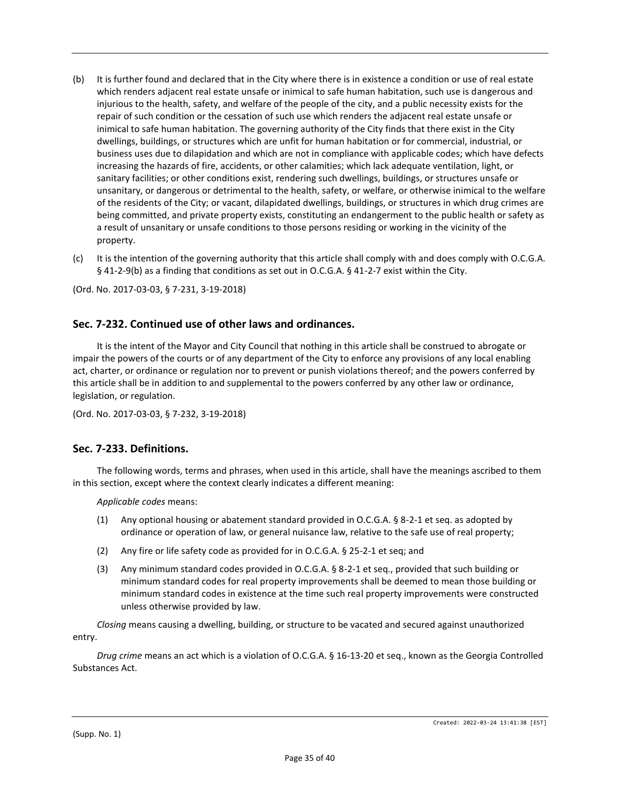- (b) It is further found and declared that in the City where there is in existence a condition or use of real estate which renders adjacent real estate unsafe or inimical to safe human habitation, such use is dangerous and injurious to the health, safety, and welfare of the people of the city, and a public necessity exists for the repair of such condition or the cessation of such use which renders the adjacent real estate unsafe or inimical to safe human habitation. The governing authority of the City finds that there exist in the City dwellings, buildings, or structures which are unfit for human habitation or for commercial, industrial, or business uses due to dilapidation and which are not in compliance with applicable codes; which have defects increasing the hazards of fire, accidents, or other calamities; which lack adequate ventilation, light, or sanitary facilities; or other conditions exist, rendering such dwellings, buildings, or structures unsafe or unsanitary, or dangerous or detrimental to the health, safety, or welfare, or otherwise inimical to the welfare of the residents of the City; or vacant, dilapidated dwellings, buildings, or structures in which drug crimes are being committed, and private property exists, constituting an endangerment to the public health or safety as a result of unsanitary or unsafe conditions to those persons residing or working in the vicinity of the property.
- (c) It is the intention of the governing authority that this article shall comply with and does comply with O.C.G.A. § 41-2-9(b) as a finding that conditions as set out in O.C.G.A. § 41-2-7 exist within the City.

(Ord. No. 2017-03-03, § 7-231, 3-19-2018)

### **Sec. 7-232. Continued use of other laws and ordinances.**

It is the intent of the Mayor and City Council that nothing in this article shall be construed to abrogate or impair the powers of the courts or of any department of the City to enforce any provisions of any local enabling act, charter, or ordinance or regulation nor to prevent or punish violations thereof; and the powers conferred by this article shall be in addition to and supplemental to the powers conferred by any other law or ordinance, legislation, or regulation.

(Ord. No. 2017-03-03, § 7-232, 3-19-2018)

#### **Sec. 7-233. Definitions.**

The following words, terms and phrases, when used in this article, shall have the meanings ascribed to them in this section, except where the context clearly indicates a different meaning:

*Applicable codes* means:

- (1) Any optional housing or abatement standard provided in O.C.G.A. § 8-2-1 et seq. as adopted by ordinance or operation of law, or general nuisance law, relative to the safe use of real property;
- (2) Any fire or life safety code as provided for in O.C.G.A. § 25-2-1 et seq; and
- (3) Any minimum standard codes provided in O.C.G.A. § 8-2-1 et seq., provided that such building or minimum standard codes for real property improvements shall be deemed to mean those building or minimum standard codes in existence at the time such real property improvements were constructed unless otherwise provided by law.

*Closing* means causing a dwelling, building, or structure to be vacated and secured against unauthorized entry.

*Drug crime* means an act which is a violation of O.C.G.A. § 16-13-20 et seq., known as the Georgia Controlled Substances Act.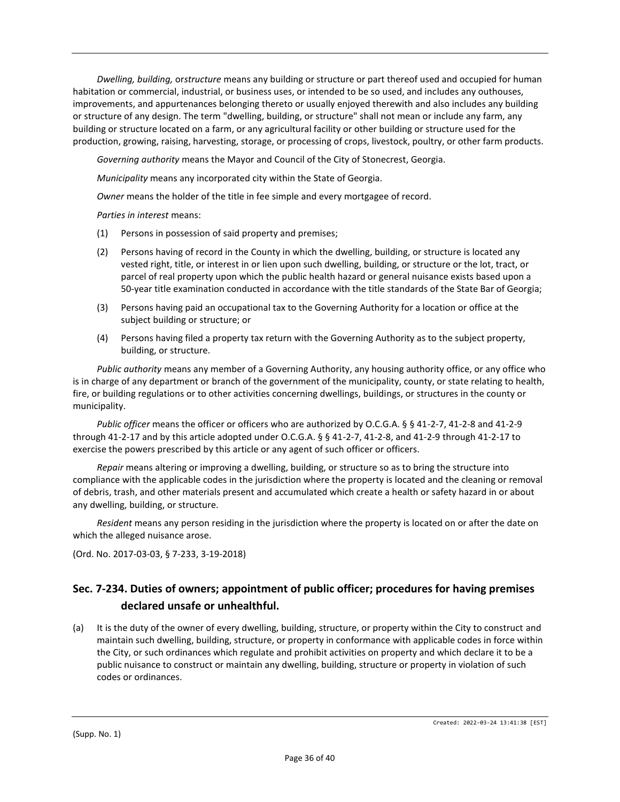*Dwelling, building,* or*structure* means any building or structure or part thereof used and occupied for human habitation or commercial, industrial, or business uses, or intended to be so used, and includes any outhouses, improvements, and appurtenances belonging thereto or usually enjoyed therewith and also includes any building or structure of any design. The term "dwelling, building, or structure" shall not mean or include any farm, any building or structure located on a farm, or any agricultural facility or other building or structure used for the production, growing, raising, harvesting, storage, or processing of crops, livestock, poultry, or other farm products.

*Governing authority* means the Mayor and Council of the City of Stonecrest, Georgia.

*Municipality* means any incorporated city within the State of Georgia.

*Owner* means the holder of the title in fee simple and every mortgagee of record.

*Parties in interest* means:

- (1) Persons in possession of said property and premises;
- (2) Persons having of record in the County in which the dwelling, building, or structure is located any vested right, title, or interest in or lien upon such dwelling, building, or structure or the lot, tract, or parcel of real property upon which the public health hazard or general nuisance exists based upon a 50-year title examination conducted in accordance with the title standards of the State Bar of Georgia;
- (3) Persons having paid an occupational tax to the Governing Authority for a location or office at the subject building or structure; or
- (4) Persons having filed a property tax return with the Governing Authority as to the subject property, building, or structure.

*Public authority* means any member of a Governing Authority, any housing authority office, or any office who is in charge of any department or branch of the government of the municipality, county, or state relating to health, fire, or building regulations or to other activities concerning dwellings, buildings, or structures in the county or municipality.

*Public officer* means the officer or officers who are authorized by O.C.G.A. § § 41-2-7, 41-2-8 and 41-2-9 through 41-2-17 and by this article adopted under O.C.G.A. § § 41-2-7, 41-2-8, and 41-2-9 through 41-2-17 to exercise the powers prescribed by this article or any agent of such officer or officers.

*Repair* means altering or improving a dwelling, building, or structure so as to bring the structure into compliance with the applicable codes in the jurisdiction where the property is located and the cleaning or removal of debris, trash, and other materials present and accumulated which create a health or safety hazard in or about any dwelling, building, or structure.

*Resident* means any person residing in the jurisdiction where the property is located on or after the date on which the alleged nuisance arose.

(Ord. No. 2017-03-03, § 7-233, 3-19-2018)

## **Sec. 7-234. Duties of owners; appointment of public officer; procedures for having premises declared unsafe or unhealthful.**

(a) It is the duty of the owner of every dwelling, building, structure, or property within the City to construct and maintain such dwelling, building, structure, or property in conformance with applicable codes in force within the City, or such ordinances which regulate and prohibit activities on property and which declare it to be a public nuisance to construct or maintain any dwelling, building, structure or property in violation of such codes or ordinances.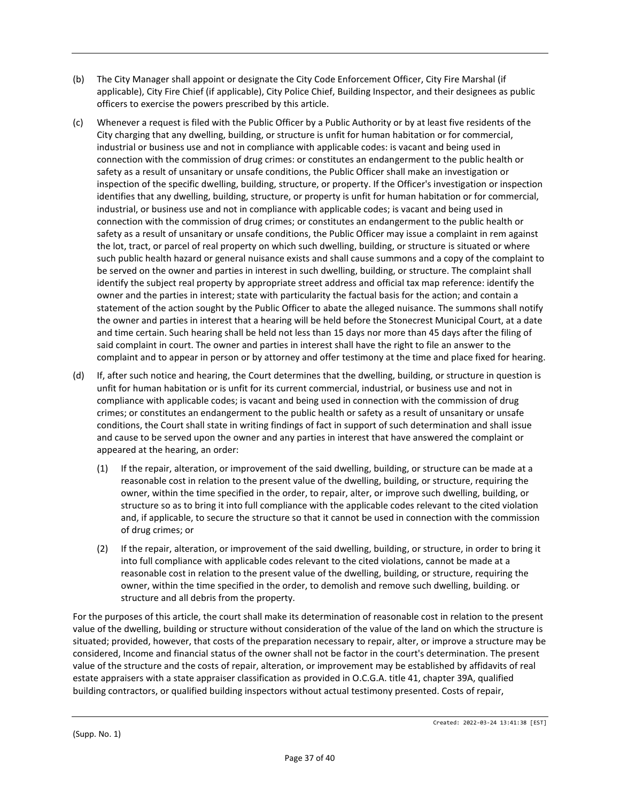- (b) The City Manager shall appoint or designate the City Code Enforcement Officer, City Fire Marshal (if applicable), City Fire Chief (if applicable), City Police Chief, Building Inspector, and their designees as public officers to exercise the powers prescribed by this article.
- (c) Whenever a request is filed with the Public Officer by a Public Authority or by at least five residents of the City charging that any dwelling, building, or structure is unfit for human habitation or for commercial, industrial or business use and not in compliance with applicable codes: is vacant and being used in connection with the commission of drug crimes: or constitutes an endangerment to the public health or safety as a result of unsanitary or unsafe conditions, the Public Officer shall make an investigation or inspection of the specific dwelling, building, structure, or property. If the Officer's investigation or inspection identifies that any dwelling, building, structure, or property is unfit for human habitation or for commercial, industrial, or business use and not in compliance with applicable codes; is vacant and being used in connection with the commission of drug crimes; or constitutes an endangerment to the public health or safety as a result of unsanitary or unsafe conditions, the Public Officer may issue a complaint in rem against the lot, tract, or parcel of real property on which such dwelling, building, or structure is situated or where such public health hazard or general nuisance exists and shall cause summons and a copy of the complaint to be served on the owner and parties in interest in such dwelling, building, or structure. The complaint shall identify the subject real property by appropriate street address and official tax map reference: identify the owner and the parties in interest; state with particularity the factual basis for the action; and contain a statement of the action sought by the Public Officer to abate the alleged nuisance. The summons shall notify the owner and parties in interest that a hearing will be held before the Stonecrest Municipal Court, at a date and time certain. Such hearing shall be held not less than 15 days nor more than 45 days after the filing of said complaint in court. The owner and parties in interest shall have the right to file an answer to the complaint and to appear in person or by attorney and offer testimony at the time and place fixed for hearing.
- (d) If, after such notice and hearing, the Court determines that the dwelling, building, or structure in question is unfit for human habitation or is unfit for its current commercial, industrial, or business use and not in compliance with applicable codes; is vacant and being used in connection with the commission of drug crimes; or constitutes an endangerment to the public health or safety as a result of unsanitary or unsafe conditions, the Court shall state in writing findings of fact in support of such determination and shall issue and cause to be served upon the owner and any parties in interest that have answered the complaint or appeared at the hearing, an order:
	- (1) If the repair, alteration, or improvement of the said dwelling, building, or structure can be made at a reasonable cost in relation to the present value of the dwelling, building, or structure, requiring the owner, within the time specified in the order, to repair, alter, or improve such dwelling, building, or structure so as to bring it into full compliance with the applicable codes relevant to the cited violation and, if applicable, to secure the structure so that it cannot be used in connection with the commission of drug crimes; or
	- (2) If the repair, alteration, or improvement of the said dwelling, building, or structure, in order to bring it into full compliance with applicable codes relevant to the cited violations, cannot be made at a reasonable cost in relation to the present value of the dwelling, building, or structure, requiring the owner, within the time specified in the order, to demolish and remove such dwelling, building. or structure and all debris from the property.

For the purposes of this article, the court shall make its determination of reasonable cost in relation to the present value of the dwelling, building or structure without consideration of the value of the land on which the structure is situated; provided, however, that costs of the preparation necessary to repair, alter, or improve a structure may be considered, Income and financial status of the owner shall not be factor in the court's determination. The present value of the structure and the costs of repair, alteration, or improvement may be established by affidavits of real estate appraisers with a state appraiser classification as provided in O.C.G.A. title 41, chapter 39A, qualified building contractors, or qualified building inspectors without actual testimony presented. Costs of repair,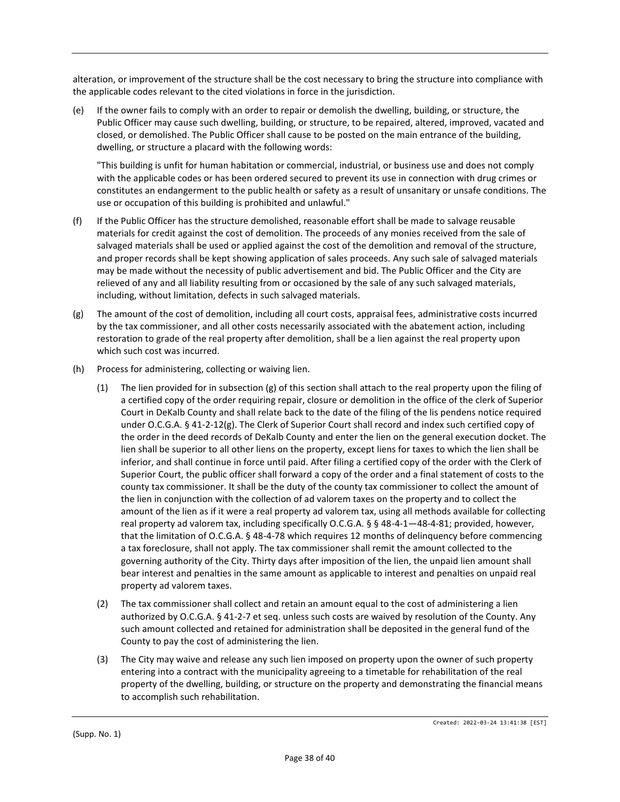alteration, or improvement of the structure shall be the cost necessary to bring the structure into compliance with the applicable codes relevant to the cited violations in force in the jurisdiction.

(e) If the owner fails to comply with an order to repair or demolish the dwelling, building, or structure, the Public Officer may cause such dwelling, building, or structure, to be repaired, altered, improved, vacated and closed, or demolished. The Public Officer shall cause to be posted on the main entrance of the building, dwelling, or structure a placard with the following words:

"This building is unfit for human habitation or commercial, industrial, or business use and does not comply with the applicable codes or has been ordered secured to prevent its use in connection with drug crimes or constitutes an endangerment to the public health or safety as a result of unsanitary or unsafe conditions. The use or occupation of this building is prohibited and unlawful."

- (f) If the Public Officer has the structure demolished, reasonable effort shall be made to salvage reusable materials for credit against the cost of demolition. The proceeds of any monies received from the sale of salvaged materials shall be used or applied against the cost of the demolition and removal of the structure, and proper records shall be kept showing application of sales proceeds. Any such sale of salvaged materials may be made without the necessity of public advertisement and bid. The Public Officer and the City are relieved of any and all liability resulting from or occasioned by the sale of any such salvaged materials, including, without limitation, defects in such salvaged materials.
- (g) The amount of the cost of demolition, including all court costs, appraisal fees, administrative costs incurred by the tax commissioner, and all other costs necessarily associated with the abatement action, including restoration to grade of the real property after demolition, shall be a lien against the real property upon which such cost was incurred.
- (h) Process for administering, collecting or waiving lien.
	- (1) The lien provided for in subsection (g) of this section shall attach to the real property upon the filing of a certified copy of the order requiring repair, closure or demolition in the office of the clerk of Superior Court in DeKalb County and shall relate back to the date of the filing of the lis pendens notice required under O.C.G.A. § 41-2-12(g). The Clerk of Superior Court shall record and index such certified copy of the order in the deed records of DeKalb County and enter the lien on the general execution docket. The lien shall be superior to all other liens on the property, except liens for taxes to which the lien shall be inferior, and shall continue in force until paid. After filing a certified copy of the order with the Clerk of Superior Court, the public officer shall forward a copy of the order and a final statement of costs to the county tax commissioner. It shall be the duty of the county tax commissioner to collect the amount of the lien in conjunction with the collection of ad valorem taxes on the property and to collect the amount of the lien as if it were a real property ad valorem tax, using all methods available for collecting real property ad valorem tax, including specifically O.C.G.A. § § 48-4-1-48-4-81; provided, however, that the limitation of O.C.G.A. § 48-4-78 which requires 12 months of delinquency before commencing a tax foreclosure, shall not apply. The tax commissioner shall remit the amount collected to the governing authority of the City. Thirty days after imposition of the lien, the unpaid lien amount shall bear interest and penalties in the same amount as applicable to interest and penalties on unpaid real property ad valorem taxes.
	- (2) The tax commissioner shall collect and retain an amount equal to the cost of administering a lien authorized by O.C.G.A. § 41-2-7 et seq. unless such costs are waived by resolution of the County. Any such amount collected and retained for administration shall be deposited in the general fund of the County to pay the cost of administering the lien.
	- (3) The City may waive and release any such lien imposed on property upon the owner of such property entering into a contract with the municipality agreeing to a timetable for rehabilitation of the real property of the dwelling, building, or structure on the property and demonstrating the financial means to accomplish such rehabilitation.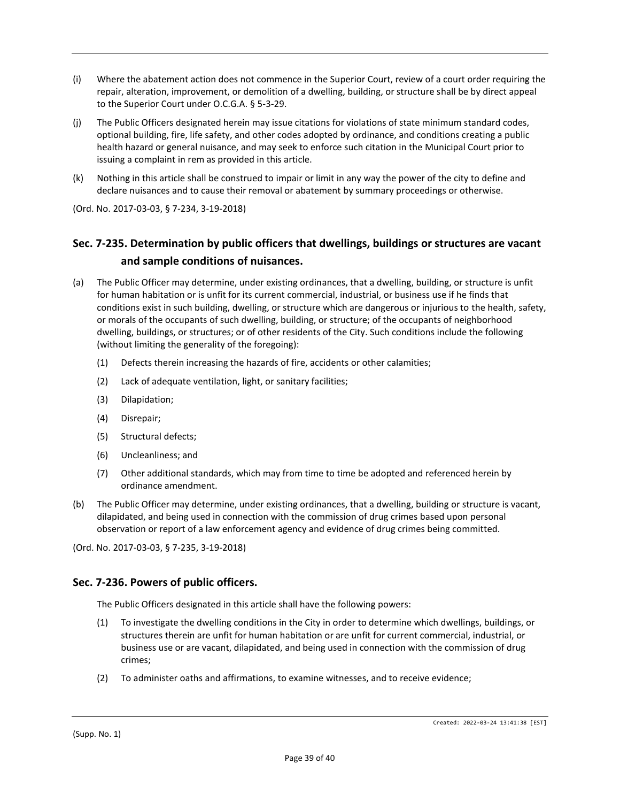- (i) Where the abatement action does not commence in the Superior Court, review of a court order requiring the repair, alteration, improvement, or demolition of a dwelling, building, or structure shall be by direct appeal to the Superior Court under O.C.G.A. § 5-3-29.
- (j) The Public Officers designated herein may issue citations for violations of state minimum standard codes, optional building, fire, life safety, and other codes adopted by ordinance, and conditions creating a public health hazard or general nuisance, and may seek to enforce such citation in the Municipal Court prior to issuing a complaint in rem as provided in this article.
- (k) Nothing in this article shall be construed to impair or limit in any way the power of the city to define and declare nuisances and to cause their removal or abatement by summary proceedings or otherwise.

(Ord. No. 2017-03-03, § 7-234, 3-19-2018)

# **Sec. 7-235. Determination by public officers that dwellings, buildings or structures are vacant and sample conditions of nuisances.**

- (a) The Public Officer may determine, under existing ordinances, that a dwelling, building, or structure is unfit for human habitation or is unfit for its current commercial, industrial, or business use if he finds that conditions exist in such building, dwelling, or structure which are dangerous or injurious to the health, safety, or morals of the occupants of such dwelling, building, or structure; of the occupants of neighborhood dwelling, buildings, or structures; or of other residents of the City. Such conditions include the following (without limiting the generality of the foregoing):
	- (1) Defects therein increasing the hazards of fire, accidents or other calamities;
	- (2) Lack of adequate ventilation, light, or sanitary facilities;
	- (3) Dilapidation;
	- (4) Disrepair;
	- (5) Structural defects;
	- (6) Uncleanliness; and
	- (7) Other additional standards, which may from time to time be adopted and referenced herein by ordinance amendment.
- (b) The Public Officer may determine, under existing ordinances, that a dwelling, building or structure is vacant, dilapidated, and being used in connection with the commission of drug crimes based upon personal observation or report of a law enforcement agency and evidence of drug crimes being committed.

(Ord. No. 2017-03-03, § 7-235, 3-19-2018)

#### **Sec. 7-236. Powers of public officers.**

The Public Officers designated in this article shall have the following powers:

- (1) To investigate the dwelling conditions in the City in order to determine which dwellings, buildings, or structures therein are unfit for human habitation or are unfit for current commercial, industrial, or business use or are vacant, dilapidated, and being used in connection with the commission of drug crimes;
- (2) To administer oaths and affirmations, to examine witnesses, and to receive evidence;

(Supp. No. 1)